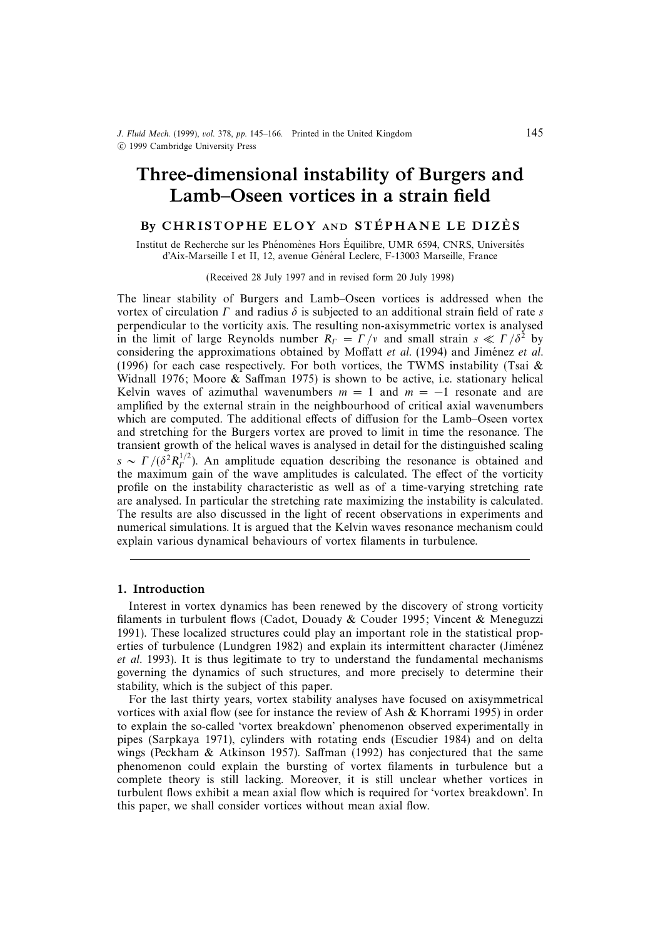# Three-dimensional instability of Burgers and Lamb–Oseen vortices in a strain field

# BY CHRISTOPHE ELOY AND STÉPHANE LE DIZÈS

Institut de Recherche sur les Phénomènes Hors Équilibre, UMR 6594, CNRS, Universités d'Aix-Marseille I et II, 12, avenue Général Leclerc, F-13003 Marseille, France

#### (Received 28 July 1997 and in revised form 20 July 1998)

The linear stability of Burgers and Lamb–Oseen vortices is addressed when the vortex of circulation  $\Gamma$  and radius  $\delta$  is subjected to an additional strain field of rate s perpendicular to the vorticity axis. The resulting non-axisymmetric vortex is analysed in the limit of large Reynolds number  $R_T = \Gamma/v$  and small strain  $s \ll \Gamma/\delta^2$  by considering the approximations obtained by Moffatt  $et$   $al.$  (1994) and Jiménez  $et$   $al.$ (1996) for each case respectively. For both vortices, the TWMS instability (Tsai  $\&$ Widnall 1976; Moore  $\&$  Saffman 1975) is shown to be active, i.e. stationary helical Kelvin waves of azimuthal wavenumbers  $m = 1$  and  $m = -1$  resonate and are amplified by the external strain in the neighbourhood of critical axial wavenumbers which are computed. The additional effects of diffusion for the Lamb–Oseen vortex and stretching for the Burgers vortex are proved to limit in time the resonance. The transient growth of the helical waves is analysed in detail for the distinguished scaling  $S \sim \Gamma/(\delta^2 R_I^{1/2})$ . An amplitude equation describing the resonance is obtained and the maximum gain of the wave amplitudes is calculated. The effect of the vorticity profile on the instability characteristic as well as of a time-varying stretching rate are analysed. In particular the stretching rate maximizing the instability is calculated. The results are also discussed in the light of recent observations in experiments and numerical simulations. It is argued that the Kelvin waves resonance mechanism could explain various dynamical behaviours of vortex filaments in turbulence.

### 1. Introduction

Interest in vortex dynamics has been renewed by the discovery of strong vorticity filaments in turbulent flows (Cadot, Douady & Couder 1995; Vincent & Meneguzzi 1991). These localized structures could play an important role in the statistical properties of turbulence (Lundgren 1982) and explain its intermittent character (Jiménez et al. 1993). It is thus legitimate to try to understand the fundamental mechanisms governing the dynamics of such structures, and more precisely to determine their stability, which is the subject of this paper.

For the last thirty years, vortex stability analyses have focused on axisymmetrical vortices with axial flow (see for instance the review of Ash & Khorrami 1995) in order to explain the so-called 'vortex breakdown' phenomenon observed experimentally in pipes (Sarpkaya 1971), cylinders with rotating ends (Escudier 1984) and on delta wings (Peckham & Atkinson 1957). Saffman (1992) has conjectured that the same phenomenon could explain the bursting of vortex filaments in turbulence but a complete theory is still lacking. Moreover, it is still unclear whether vortices in turbulent flows exhibit a mean axial flow which is required for 'vortex breakdown'. In this paper, we shall consider vortices without mean axial flow.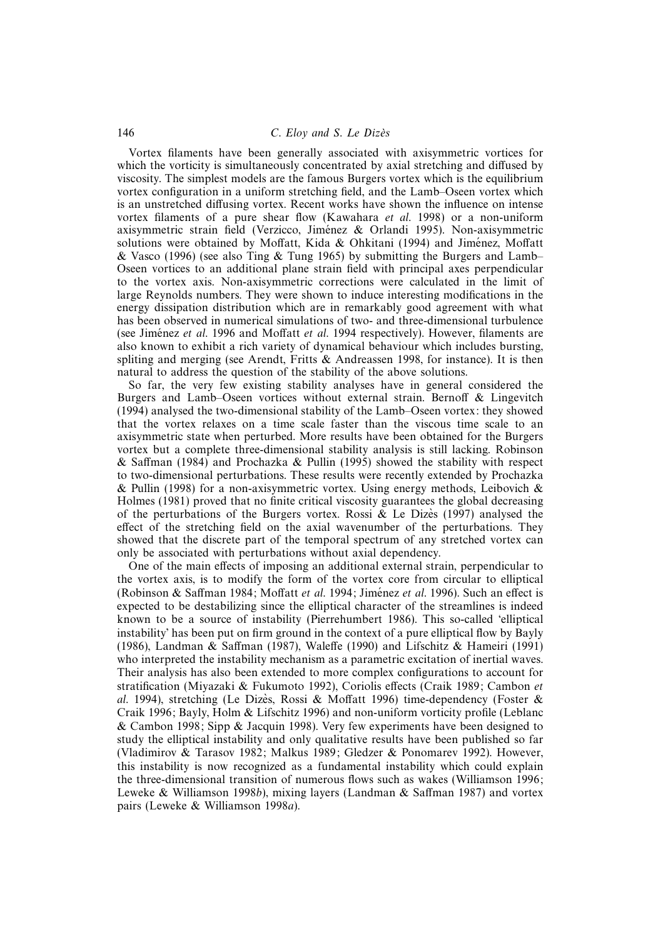## 146 C. Eloy and S. Le Dizès

Vortex filaments have been generally associated with axisymmetric vortices for which the vorticity is simultaneously concentrated by axial stretching and diffused by viscosity. The simplest models are the famous Burgers vortex which is the equilibrium vortex configuration in a uniform stretching field, and the Lamb–Oseen vortex which is an unstretched diffusing vortex. Recent works have shown the influence on intense vortex filaments of a pure shear flow (Kawahara et al. 1998) or a non-uniform axisymmetric strain field (Verzicco, Jimenez & Orlandi 1995). Non-axisymmetric ´ solutions were obtained by Moffatt, Kida & Ohkitani (1994) and Jiménez, Moffatt & Vasco (1996) (see also Ting & Tung 1965) by submitting the Burgers and Lamb– Oseen vortices to an additional plane strain field with principal axes perpendicular to the vortex axis. Non-axisymmetric corrections were calculated in the limit of large Reynolds numbers. They were shown to induce interesting modifications in the energy dissipation distribution which are in remarkably good agreement with what has been observed in numerical simulations of two- and three-dimensional turbulence (see Jiménez et al. 1996 and Moffatt et al. 1994 respectively). However, filaments are also known to exhibit a rich variety of dynamical behaviour which includes bursting, spliting and merging (see Arendt, Fritts  $\&$  Andreassen 1998, for instance). It is then natural to address the question of the stability of the above solutions.

So far, the very few existing stability analyses have in general considered the Burgers and Lamb–Oseen vortices without external strain. Bernoff & Lingevitch (1994) analysed the two-dimensional stability of the Lamb–Oseen vortex: they showed that the vortex relaxes on a time scale faster than the viscous time scale to an axisymmetric state when perturbed. More results have been obtained for the Burgers vortex but a complete three-dimensional stability analysis is still lacking. Robinson & Saffman (1984) and Prochazka & Pullin (1995) showed the stability with respect to two-dimensional perturbations. These results were recently extended by Prochazka & Pullin (1998) for a non-axisymmetric vortex. Using energy methods, Leibovich & Holmes (1981) proved that no finite critical viscosity guarantees the global decreasing of the perturbations of the Burgers vortex. Rossi & Le Dizes (1997) analysed the effect of the stretching field on the axial wavenumber of the perturbations. They showed that the discrete part of the temporal spectrum of any stretched vortex can only be associated with perturbations without axial dependency.

One of the main effects of imposing an additional external strain, perpendicular to the vortex axis, is to modify the form of the vortex core from circular to elliptical (Robinson & Saffman 1984; Moffatt et al. 1994; Jiménez et al. 1996). Such an effect is expected to be destabilizing since the elliptical character of the streamlines is indeed known to be a source of instability (Pierrehumbert 1986). This so-called 'elliptical instability' has been put on firm ground in the context of a pure elliptical flow by Bayly (1986), Landman & Saffman (1987), Waleffe (1990) and Lifschitz & Hameiri (1991) who interpreted the instability mechanism as a parametric excitation of inertial waves. Their analysis has also been extended to more complex configurations to account for stratification (Miyazaki & Fukumoto 1992), Coriolis effects (Craik 1989; Cambon et al. 1994), stretching (Le Dizès, Rossi & Moffatt 1996) time-dependency (Foster & Craik 1996; Bayly, Holm & Lifschitz 1996) and non-uniform vorticity profile (Leblanc & Cambon 1998; Sipp & Jacquin 1998). Very few experiments have been designed to study the elliptical instability and only qualitative results have been published so far (Vladimirov & Tarasov 1982; Malkus 1989; Gledzer & Ponomarev 1992). However, this instability is now recognized as a fundamental instability which could explain the three-dimensional transition of numerous flows such as wakes (Williamson 1996; Leweke & Williamson 1998b), mixing layers (Landman & Saffman 1987) and vortex pairs (Leweke & Williamson 1998a).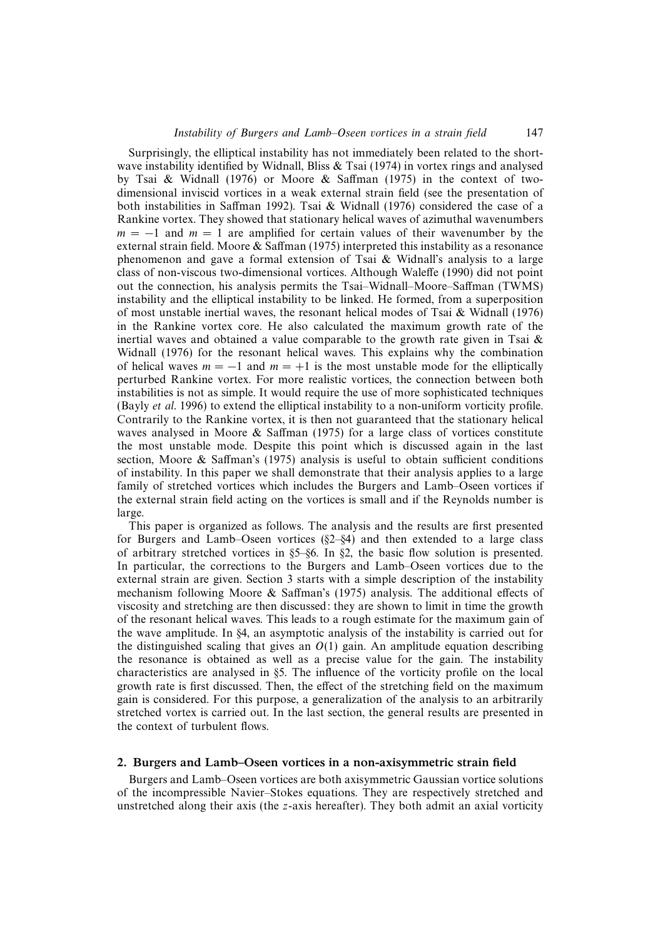Surprisingly, the elliptical instability has not immediately been related to the shortwave instability identified by Widnall, Bliss & Tsai (1974) in vortex rings and analysed by Tsai & Widnall (1976) or Moore & Saffman (1975) in the context of twodimensional inviscid vortices in a weak external strain field (see the presentation of both instabilities in Saffman 1992). Tsai & Widnall (1976) considered the case of a Rankine vortex. They showed that stationary helical waves of azimuthal wavenumbers  $m = -1$  and  $m = 1$  are amplified for certain values of their wavenumber by the external strain field. Moore  $\&$  Saffman (1975) interpreted this instability as a resonance phenomenon and gave a formal extension of Tsai & Widnall's analysis to a large class of non-viscous two-dimensional vortices. Although Waleffe (1990) did not point out the connection, his analysis permits the Tsai–Widnall–Moore–Saffman (TWMS) instability and the elliptical instability to be linked. He formed, from a superposition of most unstable inertial waves, the resonant helical modes of Tsai & Widnall (1976) in the Rankine vortex core. He also calculated the maximum growth rate of the inertial waves and obtained a value comparable to the growth rate given in Tsai  $\&$ Widnall (1976) for the resonant helical waves. This explains why the combination of helical waves  $m = -1$  and  $m = +1$  is the most unstable mode for the elliptically perturbed Rankine vortex. For more realistic vortices, the connection between both instabilities is not as simple. It would require the use of more sophisticated techniques (Bayly et al. 1996) to extend the elliptical instability to a non-uniform vorticity profile. Contrarily to the Rankine vortex, it is then not guaranteed that the stationary helical waves analysed in Moore  $\&$  Saffman (1975) for a large class of vortices constitute the most unstable mode. Despite this point which is discussed again in the last section, Moore & Saffman's (1975) analysis is useful to obtain sufficient conditions of instability. In this paper we shall demonstrate that their analysis applies to a large family of stretched vortices which includes the Burgers and Lamb–Oseen vortices if the external strain field acting on the vortices is small and if the Reynolds number is large.

This paper is organized as follows. The analysis and the results are first presented for Burgers and Lamb–Oseen vortices  $(\S2-\S4)$  and then extended to a large class of arbitrary stretched vortices in §5–§6. In §2, the basic flow solution is presented. In particular, the corrections to the Burgers and Lamb–Oseen vortices due to the external strain are given. Section 3 starts with a simple description of the instability mechanism following Moore & Saffman's (1975) analysis. The additional effects of viscosity and stretching are then discussed: they are shown to limit in time the growth of the resonant helical waves. This leads to a rough estimate for the maximum gain of the wave amplitude. In §4, an asymptotic analysis of the instability is carried out for the distinguished scaling that gives an  $O(1)$  gain. An amplitude equation describing the resonance is obtained as well as a precise value for the gain. The instability characteristics are analysed in §5. The influence of the vorticity profile on the local growth rate is first discussed. Then, the effect of the stretching field on the maximum gain is considered. For this purpose, a generalization of the analysis to an arbitrarily stretched vortex is carried out. In the last section, the general results are presented in the context of turbulent flows.

#### 2. Burgers and Lamb–Oseen vortices in a non-axisymmetric strain field

Burgers and Lamb–Oseen vortices are both axisymmetric Gaussian vortice solutions of the incompressible Navier–Stokes equations. They are respectively stretched and unstretched along their axis (the z-axis hereafter). They both admit an axial vorticity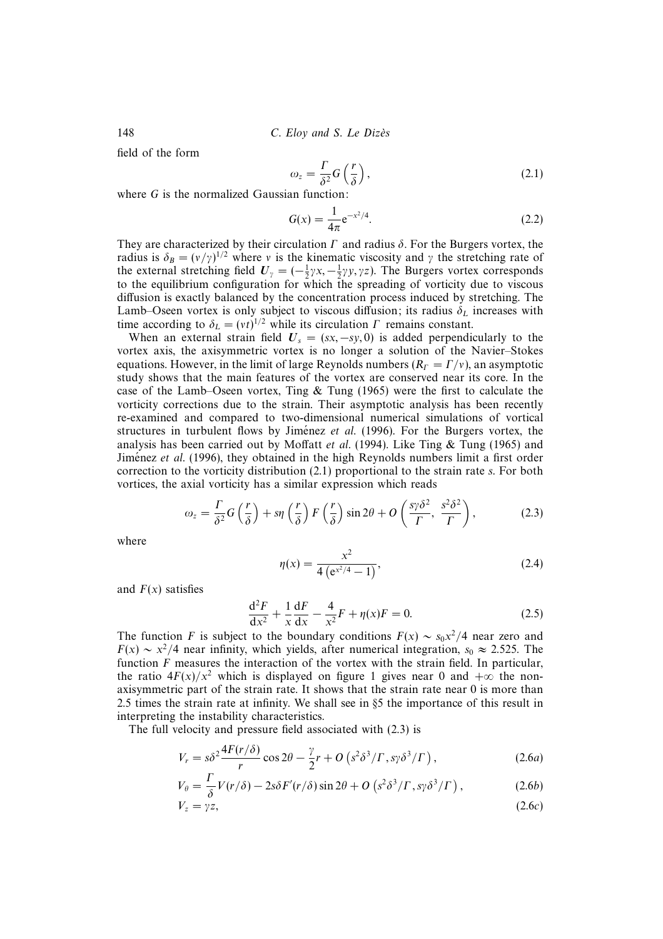148 C. Eloy and S. Le Dizès

field of the form

$$
\omega_z = \frac{\Gamma}{\delta^2} G\left(\frac{r}{\delta}\right),\tag{2.1}
$$

where G is the normalized Gaussian function:

$$
G(x) = \frac{1}{4\pi} e^{-x^2/4}.
$$
 (2.2)

They are characterized by their circulation  $\Gamma$  and radius  $\delta$ . For the Burgers vortex, the radius is  $\delta_B = (v/\gamma)^{1/2}$  where v is the kinematic viscosity and  $\gamma$  the stretching rate of the external stretching field  $U_{\gamma} = (-\frac{1}{2}\gamma x, -\frac{1}{2}\gamma y, \gamma z)$ . The Burgers vortex corresponds to the equilibrium configuration for which the spreading of vorticity due to viscous diffusion is exactly balanced by the concentration process induced by stretching. The Lamb–Oseen vortex is only subject to viscous diffusion; its radius  $\delta_L$  increases with time according to  $\delta_L = (vt)^{1/2}$  while its circulation  $\Gamma$  remains constant.

When an external strain field  $U_s = (sx, -sy, 0)$  is added perpendicularly to the vortex axis, the axisymmetric vortex is no longer a solution of the Navier–Stokes equations. However, in the limit of large Reynolds numbers  $(R<sub>F</sub> = \Gamma/v)$ , an asymptotic study shows that the main features of the vortex are conserved near its core. In the case of the Lamb–Oseen vortex, Ting  $\&$  Tung (1965) were the first to calculate the vorticity corrections due to the strain. Their asymptotic analysis has been recently re-examined and compared to two-dimensional numerical simulations of vortical structures in turbulent flows by Jiménez *et al.* (1996). For the Burgers vortex, the analysis has been carried out by Moffatt *et al.* (1994). Like Ting  $\&$  Tung (1965) and Jiménez et al. (1996), they obtained in the high Reynolds numbers limit a first order correction to the vorticity distribution (2.1) proportional to the strain rate s. For both vortices, the axial vorticity has a similar expression which reads

$$
\omega_z = \frac{\Gamma}{\delta^2} G\left(\frac{r}{\delta}\right) + s\eta \left(\frac{r}{\delta}\right) F\left(\frac{r}{\delta}\right) \sin 2\theta + O\left(\frac{s\gamma \delta^2}{\Gamma}, \frac{s^2 \delta^2}{\Gamma}\right),\tag{2.3}
$$

where

$$
\eta(x) = \frac{x^2}{4\left(e^{x^2/4} - 1\right)},\tag{2.4}
$$

and  $F(x)$  satisfies

$$
\frac{d^2F}{dx^2} + \frac{1}{x}\frac{dF}{dx} - \frac{4}{x^2}F + \eta(x)F = 0.
$$
 (2.5)

The function F is subject to the boundary conditions  $F(x) \sim s_0 x^2/4$  near zero and  $F(x) \sim x^2/4$  near infinity, which yields, after numerical integration, s<sub>0</sub> ≈ 2.525. The function  $F$  measures the interaction of the vortex with the strain field. In particular, the ratio  $4F(x)/x^2$  which is displayed on figure 1 gives near 0 and  $+\infty$  the nonaxisymmetric part of the strain rate. It shows that the strain rate near 0 is more than 2.5 times the strain rate at infinity. We shall see in §5 the importance of this result in interpreting the instability characteristics.

The full velocity and pressure field associated with (2.3) is

$$
V_r = s\delta^2 \frac{4F(r/\delta)}{r} \cos 2\theta - \frac{\gamma}{2}r + O\left(s^2 \delta^3 / \Gamma, s\gamma \delta^3 / \Gamma\right),\tag{2.6a}
$$

$$
V_{\theta} = \frac{\Gamma}{\delta} V(r/\delta) - 2s\delta F'(r/\delta) \sin 2\theta + O\left(s^2 \delta^3 / \Gamma, s\gamma \delta^3 / \Gamma\right),\tag{2.6b}
$$

$$
V_z = \gamma z, \tag{2.6c}
$$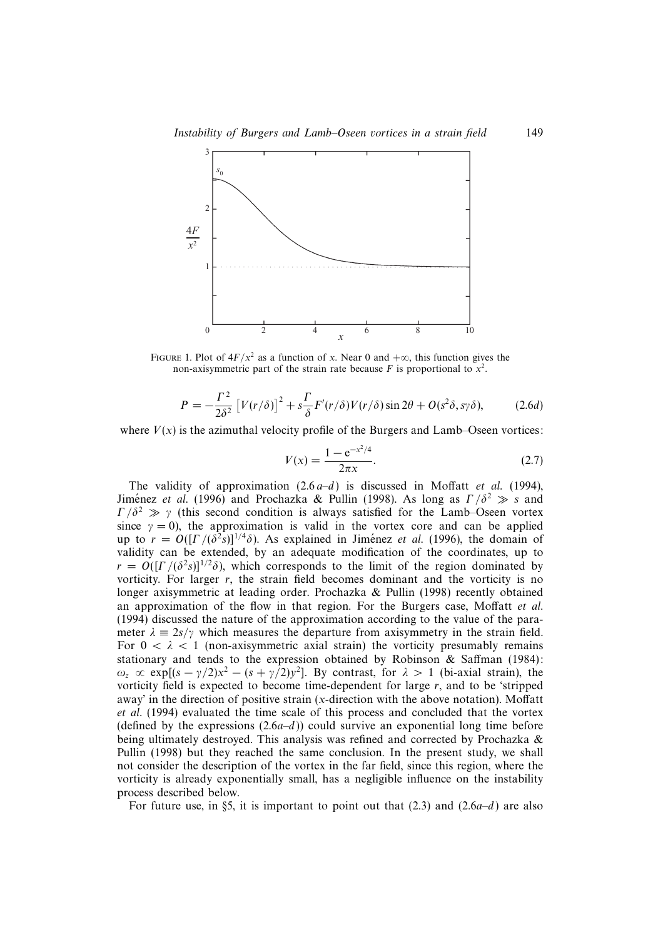

FIGURE 1. Plot of  $4F/x^2$  as a function of x. Near 0 and  $+\infty$ , this function gives the non-axisymmetric part of the strain rate because F is proportional to  $x^2$ .

$$
P = -\frac{\Gamma^2}{2\delta^2} \left[ V(r/\delta) \right]^2 + s\frac{\Gamma}{\delta} F'(r/\delta) V(r/\delta) \sin 2\theta + O(s^2 \delta, s\gamma \delta), \tag{2.6d}
$$

where  $V(x)$  is the azimuthal velocity profile of the Burgers and Lamb–Oseen vortices:

$$
V(x) = \frac{1 - e^{-x^2/4}}{2\pi x}.
$$
 (2.7)

The validity of approximation  $(2.6 a-d)$  is discussed in Moffatt *et al.* (1994), Jiménez et al. (1996) and Prochazka & Pullin (1998). As long as  $\Gamma/\delta^2 \gg s$  and  $\Gamma/\delta^2 \gg \gamma$  (this second condition is always satisfied for the Lamb–Oseen vortex since  $\gamma = 0$ ), the approximation is valid in the vortex core and can be applied up to  $r = O(\Gamma/(\delta^2 s))^{1/4}\delta$ ). As explained in Jiménez *et al.* (1996), the domain of validity can be extended, by an adequate modification of the coordinates, up to  $r = O(|\Gamma|/(\delta^2 s)|^{1/2}\delta)$ , which corresponds to the limit of the region dominated by vorticity. For larger r, the strain field becomes dominant and the vorticity is no longer axisymmetric at leading order. Prochazka & Pullin (1998) recently obtained an approximation of the flow in that region. For the Burgers case, Moffatt et al. (1994) discussed the nature of the approximation according to the value of the parameter  $\lambda = 2s/\gamma$  which measures the departure from axisymmetry in the strain field. For  $0 < \lambda < 1$  (non-axisymmetric axial strain) the vorticity presumably remains stationary and tends to the expression obtained by Robinson & Saffman (1984):  $ω_z \propto \exp[(s - \gamma/2)x^2 - (s + \gamma/2)y^2]$ . By contrast, for  $\lambda > 1$  (bi-axial strain), the vorticity field is expected to become time-dependent for large r, and to be 'stripped away' in the direction of positive strain (x-direction with the above notation). Moffatt et al. (1994) evaluated the time scale of this process and concluded that the vortex (defined by the expressions  $(2.6a-d)$ ) could survive an exponential long time before being ultimately destroyed. This analysis was refined and corrected by Prochazka & Pullin (1998) but they reached the same conclusion. In the present study, we shall not consider the description of the vortex in the far field, since this region, where the vorticity is already exponentially small, has a negligible influence on the instability process described below.

For future use, in §5, it is important to point out that  $(2.3)$  and  $(2.6a-d)$  are also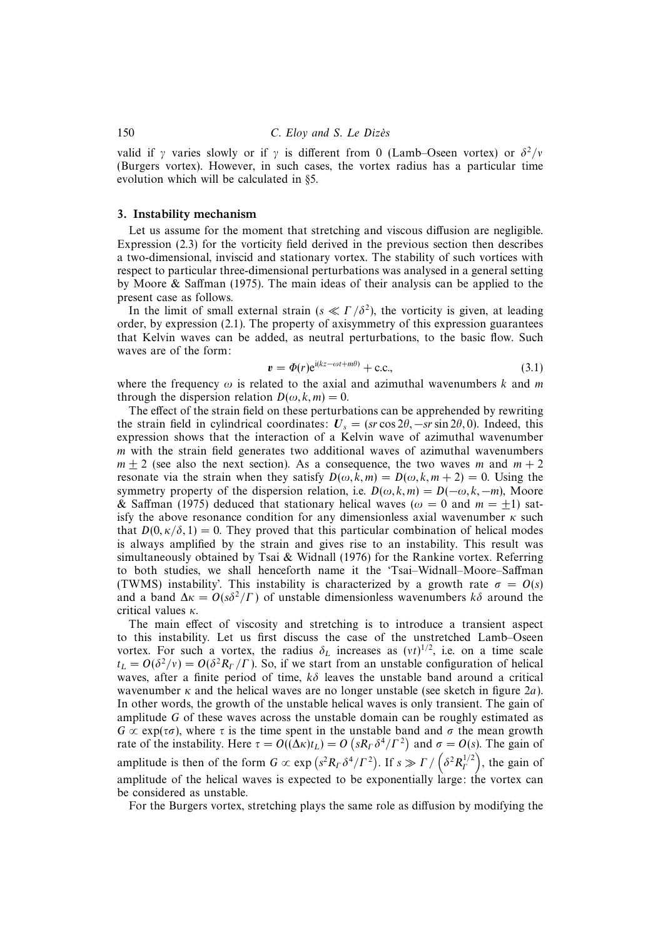valid if γ varies slowly or if γ is different from 0 (Lamb–Oseen vortex) or  $\delta^2/v$ (Burgers vortex). However, in such cases, the vortex radius has a particular time evolution which will be calculated in §5.

#### 3. Instability mechanism

Let us assume for the moment that stretching and viscous diffusion are negligible. Expression (2.3) for the vorticity field derived in the previous section then describes a two-dimensional, inviscid and stationary vortex. The stability of such vortices with respect to particular three-dimensional perturbations was analysed in a general setting by Moore & Saffman (1975). The main ideas of their analysis can be applied to the present case as follows.

In the limit of small external strain ( $s \ll \Gamma/\delta^2$ ), the vorticity is given, at leading order, by expression (2.1). The property of axisymmetry of this expression guarantees that Kelvin waves can be added, as neutral perturbations, to the basic flow. Such waves are of the form:

$$
v = \Phi(r)e^{i(kz - \omega t + m\theta)} + \text{c.c.},\tag{3.1}
$$

where the frequency  $\omega$  is related to the axial and azimuthal wavenumbers k and m through the dispersion relation  $D(\omega, k, m) = 0$ .

The effect of the strain field on these perturbations can be apprehended by rewriting the strain field in cylindrical coordinates:  $U_s = (sr \cos 2\theta, -sr \sin 2\theta, 0)$ . Indeed, this expression shows that the interaction of a Kelvin wave of azimuthal wavenumber  *with the strain field generates two additional waves of azimuthal wavenumbers*  $m \pm 2$  (see also the next section). As a consequence, the two waves m and  $m + 2$ resonate via the strain when they satisfy  $D(\omega, k, m) = D(\omega, k, m + 2) = 0$ . Using the symmetry property of the dispersion relation, i.e.  $D(\omega, k, m) = D(-\omega, k, -m)$ , Moore & Saffman (1975) deduced that stationary helical waves ( $\omega = 0$  and  $m = +1$ ) satisfy the above resonance condition for any dimensionless axial wavenumber  $\kappa$  such that  $D(0, \kappa/\delta, 1) = 0$ . They proved that this particular combination of helical modes is always amplified by the strain and gives rise to an instability. This result was simultaneously obtained by Tsai  $\&$  Widnall (1976) for the Rankine vortex. Referring to both studies, we shall henceforth name it the 'Tsai–Widnall–Moore–Saffman (TWMS) instability'. This instability is characterized by a growth rate  $\sigma = O(s)$ and a band  $\Delta \kappa = O(s\delta^2/\Gamma)$  of unstable dimensionless wavenumbers  $k\delta$  around the critical values  $\kappa$ .

The main effect of viscosity and stretching is to introduce a transient aspect to this instability. Let us first discuss the case of the unstretched Lamb–Oseen vortex. For such a vortex, the radius  $\delta_L$  increases as  $(vt)^{1/2}$ , i.e. on a time scale  $t_L = O(\delta^2/v) = O(\delta^2 R_f/\Gamma)$ . So, if we start from an unstable configuration of helical waves, after a finite period of time,  $k\delta$  leaves the unstable band around a critical wavenumber  $\kappa$  and the helical waves are no longer unstable (see sketch in figure 2a). In other words, the growth of the unstable helical waves is only transient. The gain of amplitude G of these waves across the unstable domain can be roughly estimated as  $G \propto \exp(\tau \sigma)$ , where  $\tau$  is the time spent in the unstable band and  $\sigma$  the mean growth rate of the instability. Here  $\tau = O((\Delta \kappa)t_L) = O(sR_\Gamma \delta^4/\Gamma^2)$  and  $\sigma = O(s)$ . The gain of amplitude is then of the form  $G \propto \exp(s^2 R_T \delta^4 / \Gamma^2)$ . If  $s \gg \Gamma / (\delta^2 R_T^{1/2})$ , the gain of amplitude of the helical waves is expected to be exponentially large: the vortex can be considered as unstable.

For the Burgers vortex, stretching plays the same role as diffusion by modifying the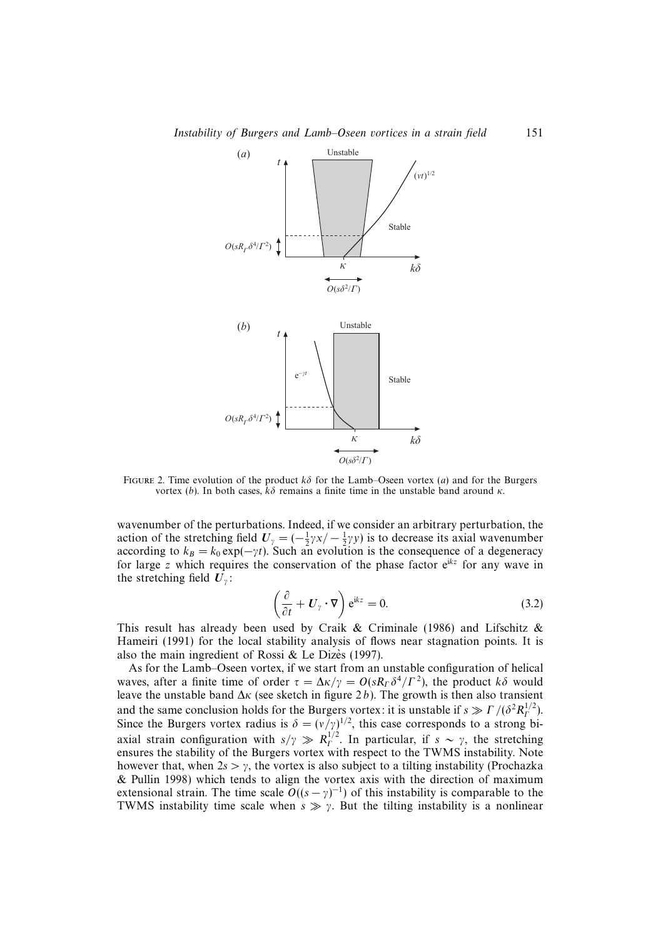

FIGURE 2. Time evolution of the product  $k\delta$  for the Lamb–Oseen vortex (a) and for the Burgers vortex (b). In both cases,  $kδ$  remains a finite time in the unstable band around κ.

wavenumber of the perturbations. Indeed, if we consider an arbitrary perturbation, the action of the stretching field  $U_{\gamma} = (-\frac{1}{2}\gamma x / - \frac{1}{2}\gamma y)$  is to decrease its axial wavenumber according to  $k_B = k_0 \exp(-\gamma t)$ . Such an evolution is the consequence of a degeneracy for large z which requires the conservation of the phase factor  $e^{ikz}$  for any wave in the stretching field  $U_{\gamma}$ :

$$
\left(\frac{\partial}{\partial t} + \boldsymbol{U}_{\gamma} \cdot \boldsymbol{\nabla} \right) e^{ikz} = 0.
$$
\n(3.2)

This result has already been used by Craik & Criminale (1986) and Lifschitz & Hameiri (1991) for the local stability analysis of flows near stagnation points. It is also the main ingredient of Rossi  $&$  Le Dizès (1997).

As for the Lamb–Oseen vortex, if we start from an unstable configuration of helical waves, after a finite time of order  $\tau = \Delta \kappa / \gamma = O(s R_\Gamma \delta^4 / \Gamma^2)$ , the product  $k \delta$  would leave the unstable band  $\Delta \kappa$  (see sketch in figure 2b). The growth is then also transient and the same conclusion holds for the Burgers vortex: it is unstable if  $s \gg \Gamma/(\delta^2 R_f^{1/2})$ . Since the Burgers vortex radius is  $\delta = (v/\gamma)^{1/2}$ , this case corresponds to a strong biaxial strain configuration with  $s/\gamma \gg R_f^{1/2}$ . In particular, if  $s \sim \gamma$ , the stretching ensures the stability of the Burgers vortex with respect to the TWMS instability. Note however that, when  $2s > \gamma$ , the vortex is also subject to a tilting instability (Prochazka & Pullin 1998) which tends to align the vortex axis with the direction of maximum extensional strain. The time scale  $O((s-\gamma)^{-1})$  of this instability is comparable to the TWMS instability time scale when  $s \gg \gamma$ . But the tilting instability is a nonlinear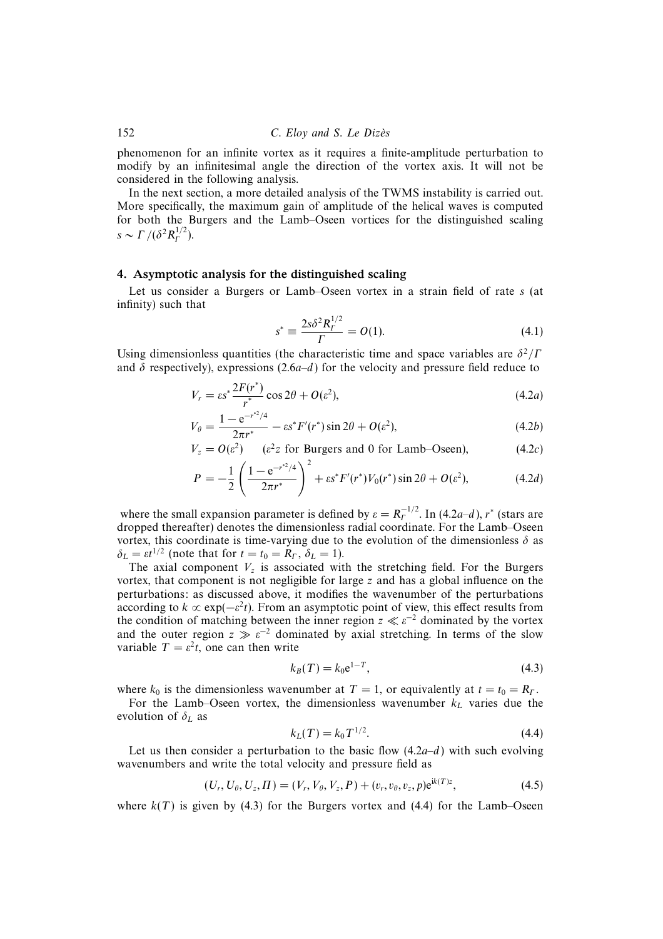phenomenon for an infinite vortex as it requires a finite-amplitude perturbation to modify by an infinitesimal angle the direction of the vortex axis. It will not be considered in the following analysis.

In the next section, a more detailed analysis of the TWMS instability is carried out. More specifically, the maximum gain of amplitude of the helical waves is computed for both the Burgers and the Lamb–Oseen vortices for the distinguished scaling  $s \sim \Gamma / (\delta^2 R_T^{1/2}).$ 

#### 4. Asymptotic analysis for the distinguished scaling

Let us consider a Burgers or Lamb–Oseen vortex in a strain field of rate s (at infinity) such that

$$
s^* \equiv \frac{2s\delta^2 R_\Gamma^{1/2}}{\Gamma} = O(1). \tag{4.1}
$$

Using dimensionless quantities (the characteristic time and space variables are  $\delta^2/\Gamma$ and  $\delta$  respectively), expressions (2.6a–d) for the velocity and pressure field reduce to

$$
V_r = \varepsilon s^* \frac{2F(r^*)}{r^*} \cos 2\theta + O(\varepsilon^2),\tag{4.2a}
$$

$$
V_{\theta} = \frac{1 - e^{-r^{2}/4}}{2\pi r^{*}} - \varepsilon s^{*} F'(r^{*}) \sin 2\theta + O(\varepsilon^{2}),
$$
\n(4.2b)

$$
V_z = O(\varepsilon^2) \qquad (\varepsilon^2 z \text{ for Burgers and 0 for Lamb-Oseen}), \tag{4.2c}
$$

$$
P = -\frac{1}{2} \left( \frac{1 - e^{-r^{2}/4}}{2\pi r^{*}} \right)^{2} + \varepsilon s^{*} F'(r^{*}) V_{0}(r^{*}) \sin 2\theta + O(\varepsilon^{2}), \tag{4.2d}
$$

where the small expansion parameter is defined by  $\varepsilon = R_{\Gamma}^{-1/2}$ . In (4.2*a*–*d*), r<sup>\*</sup> (stars are dropped thereafter) denotes the dimensionless radial coordinate. For the Lamb–Oseen vortex, this coordinate is time-varying due to the evolution of the dimensionless  $\delta$  as  $\delta_L = \varepsilon t^{1/2}$  (note that for  $t = t_0 = R_\Gamma, \delta_L = 1$ ).

The axial component  $V<sub>z</sub>$  is associated with the stretching field. For the Burgers vortex, that component is not negligible for large  $z$  and has a global influence on the perturbations: as discussed above, it modifies the wavenumber of the perturbations according to  $k \propto \exp(-\varepsilon^2 t)$ . From an asymptotic point of view, this effect results from the condition of matching between the inner region  $z \ll \varepsilon^{-2}$  dominated by the vortex and the outer region  $z \gg \varepsilon^{-2}$  dominated by axial stretching. In terms of the slow variable  $T = \varepsilon^2 t$ , one can then write

$$
k_B(T) = k_0 e^{1-T},
$$
\n(4.3)

where  $k_0$  is the dimensionless wavenumber at  $T = 1$ , or equivalently at  $t = t_0 = R_T$ .

For the Lamb–Oseen vortex, the dimensionless wavenumber  $k<sub>L</sub>$  varies due the evolution of  $\delta_L$  as

$$
k_L(T) = k_0 T^{1/2}.
$$
\n(4.4)

Let us then consider a perturbation to the basic flow  $(4.2a-d)$  with such evolving wavenumbers and write the total velocity and pressure field as

$$
(U_r, U_\theta, U_z, \Pi) = (V_r, V_\theta, V_z, P) + (v_r, v_\theta, v_z, p) e^{ik(T)z}, \qquad (4.5)
$$

where  $k(T)$  is given by (4.3) for the Burgers vortex and (4.4) for the Lamb–Oseen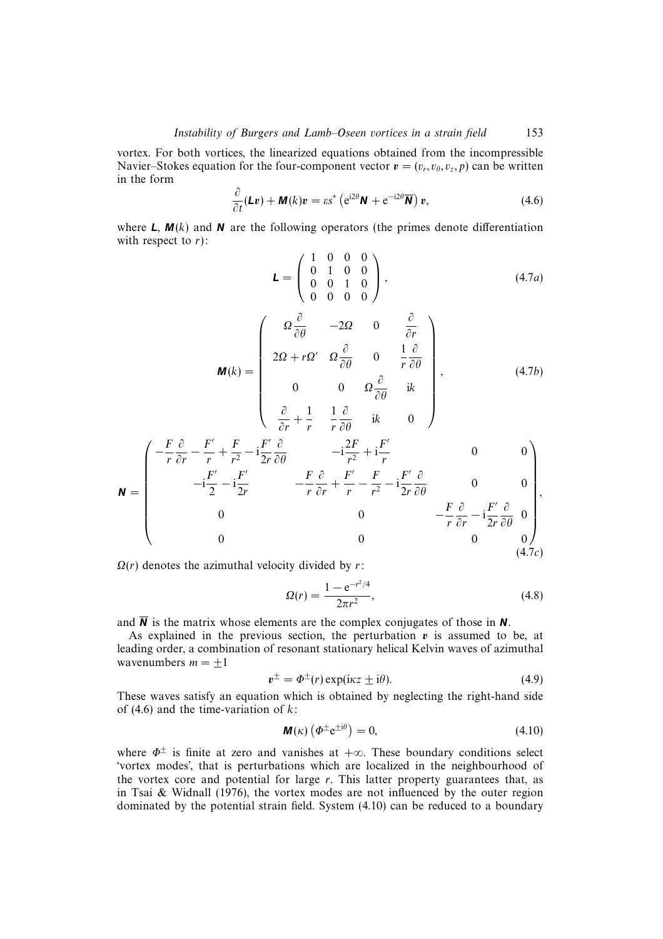vortex. For both vortices, the linearized equations obtained from the incompressible Navier–Stokes equation for the four-component vector  $\mathbf{v} = (v_r, v_\theta, v_z, p)$  can be written in the form

$$
\frac{\partial}{\partial t}(\mathbf{L}\mathbf{v}) + \mathbf{M}(k)\mathbf{v} = \varepsilon s^* \left( e^{i2\theta} \mathbf{N} + e^{-i2\theta} \overline{\mathbf{N}} \right) \mathbf{v},\tag{4.6}
$$

where  $L$ ,  $M(k)$  and  $N$  are the following operators (the primes denote differentiation with respect to  $r$ ):

$$
\mathbf{L} = \left( \begin{array}{cccc} 1 & 0 & 0 & 0 \\ 0 & 1 & 0 & 0 \\ 0 & 0 & 1 & 0 \\ 0 & 0 & 0 & 0 \end{array} \right), \tag{4.7a}
$$

$$
\mathbf{M}(k) = \begin{pmatrix} \Omega \frac{\partial}{\partial \theta} & -2\Omega & 0 & \frac{\partial}{\partial r} \\ 2\Omega + r\Omega' & \Omega \frac{\partial}{\partial \theta} & 0 & \frac{1}{r} \frac{\partial}{\partial \theta} \\ 0 & 0 & \Omega \frac{\partial}{\partial \theta} & ik \\ \partial & 1 & 1 \frac{\partial}{\partial t} & 0 \end{pmatrix},
$$
(4.7b)

$$
\begin{pmatrix}\n\frac{\partial}{\partial r} + \frac{1}{r} & \frac{1}{r} \frac{\partial}{\partial \theta} & i\kappa & 0\n\end{pmatrix}
$$
\n
$$
\begin{pmatrix}\n-\frac{F}{r} \frac{\partial}{\partial r} - \frac{F'}{r} + \frac{F}{r^2} - i\frac{F'}{2r} \frac{\partial}{\partial \theta} & -i\frac{2F}{r^2} + i\frac{F'}{r}\n\end{pmatrix}
$$
\n0\n0\n0

$$
\mathbf{N} = \begin{bmatrix}\n\mathbf{N} & \mathbf{N} & \mathbf{N} & \mathbf{N} \\
\mathbf{N} & \mathbf{N} & \mathbf{N} & \mathbf{N} \\
\mathbf{N} & \mathbf{N} & \mathbf{N} & \mathbf{N}\n\end{bmatrix},
$$
\n
$$
\mathbf{N} = \begin{bmatrix}\n\mathbf{N} & \mathbf{N} & \mathbf{N} & \mathbf{N} \\
\mathbf{N} & \mathbf{N} & \mathbf{N} & \mathbf{N} \\
\mathbf{N} & \mathbf{N} & \mathbf{N} & \mathbf{N} \\
\mathbf{N} & \mathbf{N} & \mathbf{N} & \mathbf{N} \\
\mathbf{N} & \mathbf{N} & \mathbf{N} & \mathbf{N}\n\end{bmatrix},
$$
\n
$$
\mathbf{N} = \begin{bmatrix}\n\mathbf{N} & \mathbf{N} & \mathbf{N} & \mathbf{N} \\
\mathbf{N} & \mathbf{N} & \mathbf{N} & \mathbf{N} \\
\mathbf{N} & \mathbf{N} & \mathbf{N} & \mathbf{N} \\
\mathbf{N} & \mathbf{N} & \mathbf{N} & \mathbf{N}\n\end{bmatrix},
$$
\n
$$
\mathbf{N} = \begin{bmatrix}\n\mathbf{N} & \mathbf{N} & \mathbf{N} & \mathbf{N} \\
\mathbf{N} & \mathbf{N} & \mathbf{N} & \mathbf{N} \\
\mathbf{N} & \mathbf{N} & \mathbf{N} & \mathbf{N} \\
\mathbf{N} & \mathbf{N} & \mathbf{N} & \mathbf{N} \\
\mathbf{N} & \mathbf{N} & \mathbf{N} & \mathbf{N}\n\end{bmatrix},
$$
\n
$$
\mathbf{N} = \begin{bmatrix}\n\mathbf{N} & \mathbf{N} & \mathbf{N} & \mathbf{N} \\
\mathbf{N} & \mathbf{N} & \mathbf{N} & \mathbf{N} \\
\mathbf{N} & \mathbf{N} & \mathbf{N} & \mathbf{N} \\
\mathbf{N} & \mathbf{N} & \mathbf{N} & \mathbf{N}\n\end{bmatrix},
$$
\n
$$
\mathbf{N} = \begin{bmatrix}\n\mathbf{N} & \mathbf{N}
$$

 $\Omega(r)$  denotes the azimuthal velocity divided by r:

$$
\Omega(r) = \frac{1 - e^{-r^2/4}}{2\pi r^2},\tag{4.8}
$$

and  $\overline{N}$  is the matrix whose elements are the complex conjugates of those in  $N$ .

As explained in the previous section, the perturbation *v* is assumed to be, at leading order, a combination of resonant stationary helical Kelvin waves of azimuthal wavenumbers  $m = \pm 1$ 

$$
\mathbf{v}^{\pm} = \Phi^{\pm}(r) \exp(i\kappa z \pm i\theta). \tag{4.9}
$$

These waves satisfy an equation which is obtained by neglecting the right-hand side of  $(4.6)$  and the time-variation of  $k$ :

$$
\mathbf{M}(\kappa) \left( \Phi^{\pm} e^{\pm i\theta} \right) = 0, \tag{4.10}
$$

where  $\Phi^{\pm}$  is finite at zero and vanishes at +∞. These boundary conditions select 'vortex modes', that is perturbations which are localized in the neighbourhood of the vortex core and potential for large  $r$ . This latter property guarantees that, as in Tsai & Widnall (1976), the vortex modes are not influenced by the outer region dominated by the potential strain field. System (4.10) can be reduced to a boundary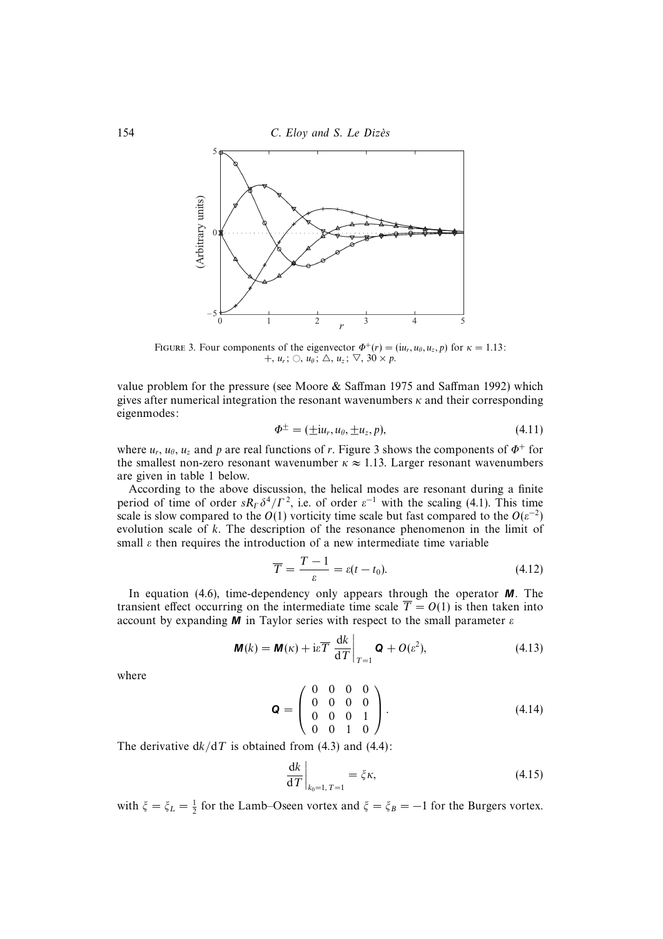



FIGURE 3. Four components of the eigenvector  $\Phi^+(r) = (i u_r, u_\theta, u_z, p)$  for  $\kappa = 1.13$ :  $+, u_r; \bigcirc, u_\theta; \bigtriangleup, u_z; \nabla, 30 \times p.$ 

value problem for the pressure (see Moore & Saffman 1975 and Saffman 1992) which gives after numerical integration the resonant wavenumbers  $\kappa$  and their corresponding eigenmodes:

$$
\Phi^{\pm} = (\pm i u_r, u_\theta, \pm u_z, p), \tag{4.11}
$$

where  $u_r$ ,  $u_\theta$ ,  $u_z$  and p are real functions of r. Figure 3 shows the components of  $\Phi^+$  for the smallest non-zero resonant wavenumber  $\kappa \approx 1.13$ . Larger resonant wavenumbers are given in table 1 below.

According to the above discussion, the helical modes are resonant during a finite period of time of order  $sR<sub>\Gamma</sub> \delta^4/\Gamma^2$ , i.e. of order  $\varepsilon^{-1}$  with the scaling (4.1). This time scale is slow compared to the  $O(1)$  vorticity time scale but fast compared to the  $O(\varepsilon^{-2})$ evolution scale of k. The description of the resonance phenomenon in the limit of small  $\varepsilon$  then requires the introduction of a new intermediate time variable

$$
\overline{T} = \frac{T - 1}{\varepsilon} = \varepsilon (t - t_0). \tag{4.12}
$$

In equation (4.6), time-dependency only appears through the operator *M*. The transient effect occurring on the intermediate time scale  $\overline{T} = O(1)$  is then taken into account by expanding  $M$  in Taylor series with respect to the small parameter  $\varepsilon$ 

$$
\mathbf{M}(k) = \mathbf{M}(\kappa) + i\epsilon \overline{T} \left. \frac{\mathrm{d}k}{\mathrm{d}T} \right|_{T=1} \mathbf{Q} + O(\epsilon^2), \tag{4.13}
$$

where

$$
\mathbf{Q} = \left( \begin{array}{cccc} 0 & 0 & 0 & 0 \\ 0 & 0 & 0 & 0 \\ 0 & 0 & 0 & 1 \\ 0 & 0 & 1 & 0 \end{array} \right). \tag{4.14}
$$

The derivative  $dk/dT$  is obtained from (4.3) and (4.4):

$$
\left. \frac{\mathrm{d}k}{\mathrm{d}T} \right|_{k_0 = 1, T = 1} = \zeta \kappa,\tag{4.15}
$$

with  $\xi = \xi_L = \frac{1}{2}$  for the Lamb–Oseen vortex and  $\xi = \xi_B = -1$  for the Burgers vortex.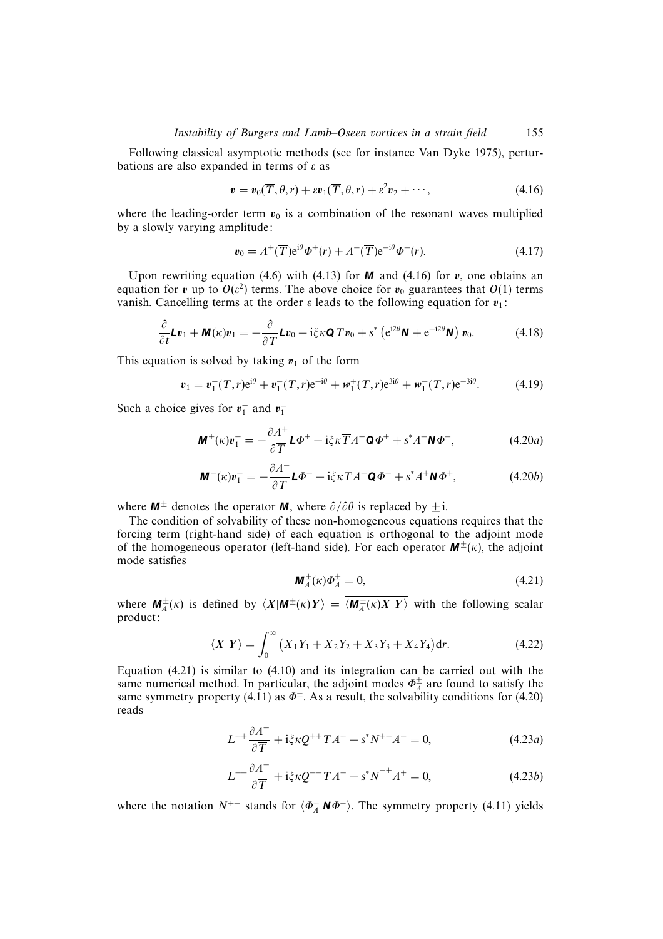#### Instability of Burgers and Lamb–Oseen vortices in a strain field 155

Following classical asymptotic methods (see for instance Van Dyke 1975), perturbations are also expanded in terms of  $\varepsilon$  as

$$
\mathbf{v} = \mathbf{v}_0(\overline{T}, \theta, r) + \varepsilon \mathbf{v}_1(\overline{T}, \theta, r) + \varepsilon^2 \mathbf{v}_2 + \cdots,
$$
 (4.16)

where the leading-order term  $v_0$  is a combination of the resonant waves multiplied by a slowly varying amplitude:

$$
\mathbf{v}_0 = A^+(\overline{T})e^{i\theta}\Phi^+(r) + A^-(\overline{T})e^{-i\theta}\Phi^-(r). \tag{4.17}
$$

Upon rewriting equation (4.6) with (4.13) for  $M$  and (4.16) for  $v$ , one obtains an equation for *v* up to  $O(\varepsilon^2)$  terms. The above choice for  $v_0$  guarantees that  $O(1)$  terms vanish. Cancelling terms at the order  $\varepsilon$  leads to the following equation for  $v_1$ :

$$
\frac{\partial}{\partial t} L v_1 + \mathbf{M}(\kappa) v_1 = -\frac{\partial}{\partial \overline{T}} L v_0 - i \zeta \kappa \mathbf{Q} \overline{T} v_0 + s^* \left( e^{i 2 \theta} \mathbf{N} + e^{-i 2 \theta} \overline{\mathbf{N}} \right) v_0.
$$
 (4.18)

This equation is solved by taking  $v_1$  of the form

$$
\boldsymbol{v}_1 = \boldsymbol{v}_1^+(\overline{T}, r) e^{i\theta} + \boldsymbol{v}_1^-(\overline{T}, r) e^{-i\theta} + \boldsymbol{w}_1^+(\overline{T}, r) e^{3i\theta} + \boldsymbol{w}_1^-(\overline{T}, r) e^{-3i\theta}.
$$
 (4.19)

Such a choice gives for  $v_1^+$  and  $v_1^-$ 

$$
\mathbf{M}^+(\kappa)\mathbf{v}_1^+ = -\frac{\partial A^+}{\partial T}\mathbf{L}\Phi^+ - i\xi\kappa\overline{T}A^+\mathbf{Q}\Phi^+ + s^*A^-\mathbf{N}\Phi^-, \tag{4.20a}
$$

$$
\mathbf{M}^{-}(\kappa)\mathbf{v}_{1}^{-}=-\frac{\partial A^{-}}{\partial T}\mathbf{L}\Phi^{-}-\mathrm{i}\zeta\kappa\overline{T}A^{-}\mathbf{Q}\Phi^{-}+s^{*}A^{+}\overline{\mathbf{N}}\Phi^{+},\qquad(4.20b)
$$

where  $M^{\pm}$  denotes the operator *M*, where  $\partial/\partial\theta$  is replaced by  $\pm$  i.

The condition of solvability of these non-homogeneous equations requires that the forcing term (right-hand side) of each equation is orthogonal to the adjoint mode of the homogeneous operator (left-hand side). For each operator  $M^{\pm}(\kappa)$ , the adjoint mode satisfies

$$
\mathbf{M}_A^{\pm}(\kappa)\Phi_A^{\pm} = 0,\tag{4.21}
$$

where  $M_A^{\pm}(\kappa)$  is defined by  $\langle X|M^{\pm}(\kappa)Y\rangle = \langle M_A^{\pm}(\kappa)X|Y\rangle$  with the following scalar product:

$$
\langle X|Y\rangle = \int_0^\infty \left(\overline{X}_1 Y_1 + \overline{X}_2 Y_2 + \overline{X}_3 Y_3 + \overline{X}_4 Y_4\right) dr. \tag{4.22}
$$

Equation (4.21) is similar to (4.10) and its integration can be carried out with the same numerical method. In particular, the adjoint modes  $\Phi_A^{\pm}$  are found to satisfy the same symmetry property (4.11) as  $\Phi^{\pm}$ . As a result, the solvability conditions for (4.20) reads

$$
L^{++}\frac{\partial A^+}{\partial \overline{T}} + \mathrm{i}\xi \kappa Q^{++}\overline{T}A^+ - s^*N^{+-}A^- = 0,\tag{4.23a}
$$

$$
L^{--}\frac{\partial A^{-}}{\partial \overline{T}} + i\xi \kappa Q^{--}\overline{T}A^{-} - s^*\overline{N}^{-+}A^{+} = 0, \qquad (4.23b)
$$

where the notation  $N^{+-}$  stands for  $\langle \Phi_A^+ | \mathbf{N} \Phi^- \rangle$ . The symmetry property (4.11) yields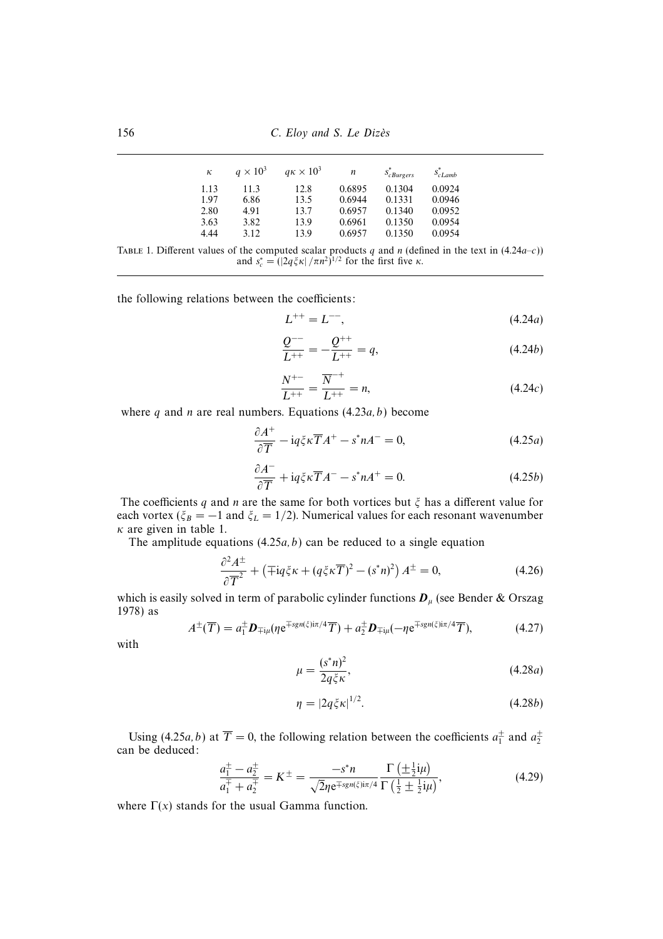156 C. Eloy and S. Le Dizès

| к    | $q \times 10^3$ | $q\kappa \times 10^3$ | n      | $s_{cBurgers}^*$ | $S_{cLamb}^*$ |
|------|-----------------|-----------------------|--------|------------------|---------------|
| 1.13 | 11.3            | 12.8                  | 0.6895 | 0.1304           | 0.0924        |
| 1.97 | 6.86            | 13.5                  | 0.6944 | 0.1331           | 0.0946        |
| 2.80 | 4.91            | 13.7                  | 0.6957 | 0.1340           | 0.0952        |
| 3.63 | 3.82            | 13.9                  | 0.6961 | 0.1350           | 0.0954        |
| 4.44 | 3.12            | 13.9                  | 0.6957 | 0.1350           | 0.0954        |

TABLE 1. Different values of the computed scalar products q and n (defined in the text in  $(4.24a-c)$ ) and  $s_c^* = (|2q\xi\kappa|/\pi n^2)^{1/2}$  for the first five  $\kappa$ .

the following relations between the coefficients:

$$
L^{++} = L^{--},\tag{4.24a}
$$

$$
\frac{Q^{--}}{L^{++}} = -\frac{Q^{++}}{L^{++}} = q,\tag{4.24b}
$$

$$
\frac{N^{+-}}{L^{++}} = \frac{\overline{N}^{-+}}{L^{++}} = n,\tag{4.24c}
$$

where q and n are real numbers. Equations  $(4.23a, b)$  become

$$
\frac{\partial A^{+}}{\partial \overline{T}} - i q \xi \kappa \overline{T} A^{+} - s^{*} n A^{-} = 0, \qquad (4.25a)
$$

$$
\frac{\partial A^{-}}{\partial \overline{T}} + i q \xi \kappa \overline{T} A^{-} - s^* n A^{+} = 0.
$$
 (4.25b)

The coefficients q and n are the same for both vortices but  $\xi$  has a different value for each vortex ( $\zeta_B = -1$  and  $\zeta_L = 1/2$ ). Numerical values for each resonant wavenumber  $\kappa$  are given in table 1.

The amplitude equations  $(4.25a, b)$  can be reduced to a single equation

$$
\frac{\partial^2 A^{\pm}}{\partial \overline{T}^2} + \left(\mp \mathrm{i}q\xi\kappa + (q\xi\kappa\overline{T})^2 - (s^*n)^2\right)A^{\pm} = 0,\tag{4.26}
$$

which is easily solved in term of parabolic cylinder functions  $D_\mu$  (see Bender & Orszag 1978) as

$$
A^{\pm}(\overline{T}) = a_{1}^{\pm} \mathbf{D}_{\mp i\mu}(\eta e^{\mp sgn(\xi) i\pi/4} \overline{T}) + a_{2}^{\pm} \mathbf{D}_{\mp i\mu}(-\eta e^{\mp sgn(\xi) i\pi/4} \overline{T}), \qquad (4.27)
$$

with

$$
\mu = \frac{(s^*n)^2}{2q\xi\kappa},\tag{4.28a}
$$

$$
\eta = |2q\xi\kappa|^{1/2}.\tag{4.28b}
$$

Using (4.25*a*, *b*) at  $T = 0$ , the following relation between the coefficients  $a_1^{\pm}$  and  $a_2^{\pm}$ can be deduced:

$$
\frac{a_{1}^{\pm} - a_{2}^{\pm}}{a_{1}^{\mp} + a_{2}^{\pm}} = K^{\pm} = \frac{-s^{*}n}{\sqrt{2}\eta e^{\mp sgn(\xi)i\pi/4}} \frac{\Gamma\left(\pm\frac{1}{2}i\mu\right)}{\Gamma\left(\frac{1}{2}\pm\frac{1}{2}i\mu\right)},\tag{4.29}
$$

where  $\Gamma(x)$  stands for the usual Gamma function.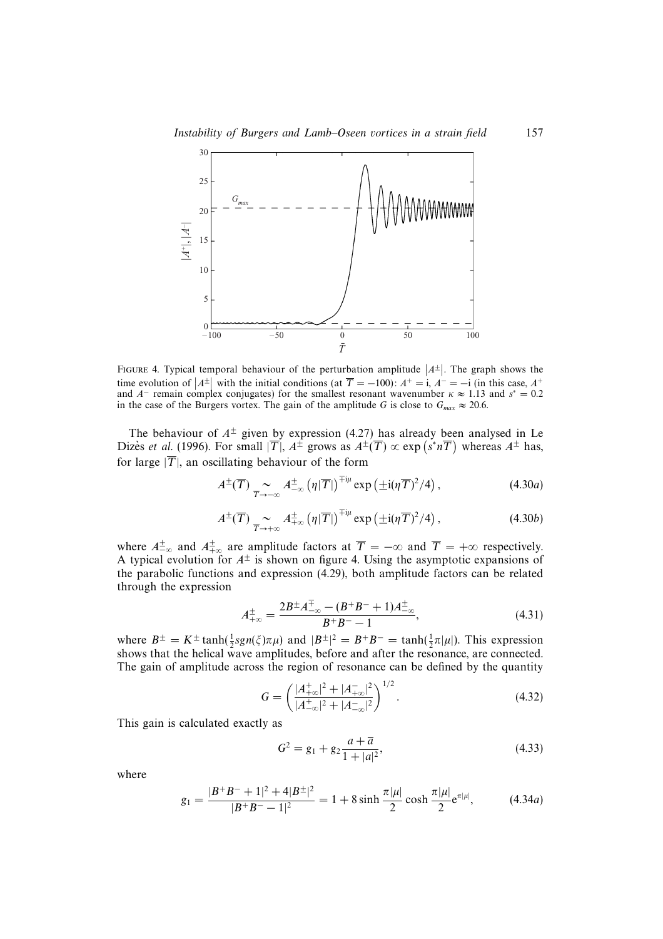

FIGURE 4. Typical temporal behaviour of the perturbation amplitude  $|A^{\pm}|$ . The graph shows the time evolution of  $|A^{\pm}|$  with the initial conditions (at  $\overline{T} = -100$ ):  $A^+ = i$ ,  $A^- = -i$  (in this case,  $A^+$ ) and  $A^-$  remain complex conjugates) for the smallest resonant wavenumber  $\kappa \approx 1.13$  and  $s^* = 0.2$ in the case of the Burgers vortex. The gain of the amplitude G is close to  $G_{max} \approx 20.6$ .

The behaviour of  $A^{\pm}$  given by expression (4.27) has already been analysed in Le Dizès *et al.* (1996). For small  $|\overline{T}|$ ,  $A^{\pm}$  grows as  $A^{\pm}(\overline{T}) \propto \exp(s^* n\overline{T})$  whereas  $A^{\pm}$  has, for large  $|\overline{T}|$ , an oscillating behaviour of the form

$$
A^{\pm}(\overline{T}) \underset{\overline{T}\to-\infty}{\sim} A^{\pm}_{-\infty}(\eta|\overline{T}|)^{\mp i\mu} \exp\left(\pm i(\eta\overline{T})^2/4\right), \tag{4.30a}
$$

$$
A^{\pm}(\overline{T}) \underset{\overline{T}\to+\infty}{\sim} A^{\pm}_{+\infty}(\eta|\overline{T}|)^{\mp i\mu} \exp\left(\pm i(\eta\overline{T})^2/4\right), \tag{4.30b}
$$

where  $A^{\pm}_{-\infty}$  and  $A^{\pm}_{+\infty}$  are amplitude factors at  $\overline{T} = -\infty$  and  $\overline{T} = +\infty$  respectively. A typical evolution for  $A^{\pm}$  is shown on figure 4. Using the asymptotic expansions of the parabolic functions and expression (4.29), both amplitude factors can be related through the expression

$$
A_{+\infty}^{\pm} = \frac{2B^{\pm}A_{-\infty}^{\mp} - (B^{+}B^{-} + 1)A_{-\infty}^{\pm}}{B^{+}B^{-} - 1},
$$
\n(4.31)

where  $B^{\pm} = K^{\pm} \tanh(\frac{1}{2} sgn(\xi) \pi \mu)$  and  $|B^{\pm}|^2 = B^{\pm} B^{-} = \tanh(\frac{1}{2} \pi |\mu|)$ . This expression shows that the helical wave amplitudes, before and after the resonance, are connected. The gain of amplitude across the region of resonance can be defined by the quantity

$$
G = \left(\frac{|A_{+\infty}^+|^2 + |A_{+\infty}^-|^2}{|A_{-\infty}^+|^2 + |A_{-\infty}^-|^2}\right)^{1/2}.\tag{4.32}
$$

This gain is calculated exactly as

$$
G2 = g1 + g2 \frac{a + \overline{a}}{1 + |a|^{2}},
$$
\n(4.33)

where

$$
g_1 = \frac{|B^+B^- + 1|^2 + 4|B^\pm|^2}{|B^+B^- - 1|^2} = 1 + 8\sinh\frac{\pi|\mu|}{2}\cosh\frac{\pi|\mu|}{2}e^{\pi|\mu|},\tag{4.34a}
$$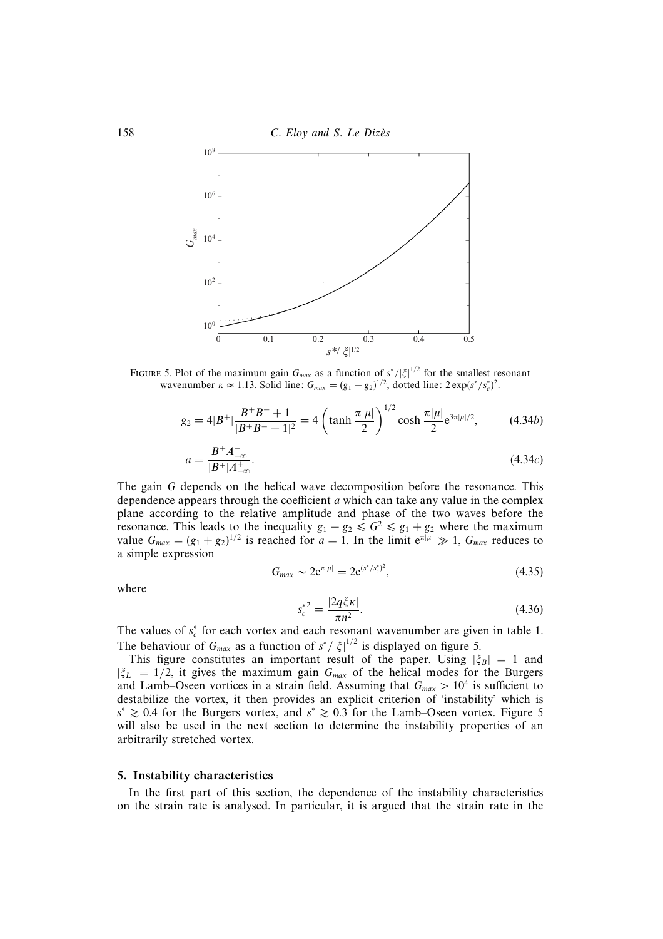

FIGURE 5. Plot of the maximum gain  $G_{max}$  as a function of  $s^*/|\xi|^{1/2}$  for the smallest resonant wavenumber  $\kappa \approx 1.13$ . Solid line:  $G_{max} = (g_1 + g_2)^{1/2}$ , dotted line:  $2 \exp(\frac{s^*}{s_c^*})^2$ .

$$
g_2 = 4|B^+|\frac{B^+B^-+1}{|B^+B^- - 1|^2} = 4\left(\tanh\frac{\pi|\mu|}{2}\right)^{1/2}\cosh\frac{\pi|\mu|}{2}e^{3\pi|\mu|/2},\tag{4.34b}
$$

$$
a = \frac{B^+ A^-_{-\infty}}{|B^+| A^+_{-\infty}}.\tag{4.34c}
$$

The gain G depends on the helical wave decomposition before the resonance. This dependence appears through the coefficient a which can take any value in the complex plane according to the relative amplitude and phase of the two waves before the resonance. This leads to the inequality  $g_1 - g_2 \le G^2 \le g_1 + g_2$  where the maximum value  $G_{max} = (g_1 + g_2)^{1/2}$  is reached for  $a = 1$ . In the limit  $e^{\pi |\mu|} \gg 1$ ,  $G_{max}$  reduces to a simple expression

$$
G_{max} \sim 2e^{\pi|\mu|} = 2e^{(s^*/s_c^*)^2},\tag{4.35}
$$

where

$$
s_c^{*^2} = \frac{|2q\zeta\kappa|}{\pi n^2}.
$$
\n(4.36)

The values of  $s_c^*$  for each vortex and each resonant wavenumber are given in table 1. The behaviour of  $G_{max}$  as a function of  $s^*/|\xi|^{1/2}$  is displayed on figure 5.

This figure constitutes an important result of the paper. Using  $|\zeta_B| = 1$  and  $|\xi_L| = 1/2$ , it gives the maximum gain  $G_{max}$  of the helical modes for the Burgers and Lamb–Oseen vortices in a strain field. Assuming that  $G_{max} > 10^4$  is sufficient to destabilize the vortex, it then provides an explicit criterion of 'instability' which is  $s^* \geq 0.4$  for the Burgers vortex, and  $s^* \geq 0.3$  for the Lamb–Oseen vortex. Figure 5 will also be used in the next section to determine the instability properties of an arbitrarily stretched vortex.

#### 5. Instability characteristics

In the first part of this section, the dependence of the instability characteristics on the strain rate is analysed. In particular, it is argued that the strain rate in the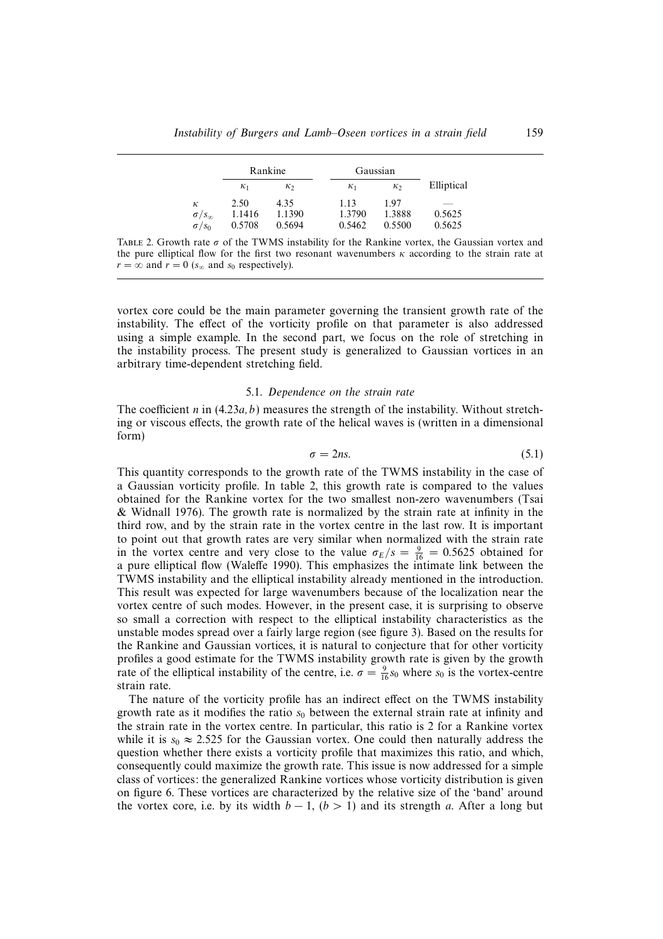|                       | Rankine    |        | Gaussian   |          |            |
|-----------------------|------------|--------|------------|----------|------------|
|                       | $\kappa_1$ | К2     | $\kappa_1$ | $\kappa$ | Elliptical |
| к                     | 2.50       | 4.35   | 1.13       | 1.97     | ___        |
| $\sigma / s_{\infty}$ | 1.1416     | 1.1390 | 1.3790     | 1.3888   | 0.5625     |
| $\sigma/s_0$          | 0.5708     | 0.5694 | 0.5462     | 0.5500   | 0.5625     |

TABLE 2. Growth rate  $\sigma$  of the TWMS instability for the Rankine vortex, the Gaussian vortex and the pure elliptical flow for the first two resonant wavenumbers  $\kappa$  according to the strain rate at  $r = \infty$  and  $r = 0$  ( $s_{\infty}$  and  $s_0$  respectively).

vortex core could be the main parameter governing the transient growth rate of the instability. The effect of the vorticity profile on that parameter is also addressed using a simple example. In the second part, we focus on the role of stretching in the instability process. The present study is generalized to Gaussian vortices in an arbitrary time-dependent stretching field.

#### 5.1. Dependence on the strain rate

The coefficient n in  $(4.23a, b)$  measures the strength of the instability. Without stretching or viscous effects, the growth rate of the helical waves is (written in a dimensional form)

$$
\sigma = 2ns.\tag{5.1}
$$

This quantity corresponds to the growth rate of the TWMS instability in the case of a Gaussian vorticity profile. In table 2, this growth rate is compared to the values obtained for the Rankine vortex for the two smallest non-zero wavenumbers (Tsai & Widnall 1976). The growth rate is normalized by the strain rate at infinity in the third row, and by the strain rate in the vortex centre in the last row. It is important to point out that growth rates are very similar when normalized with the strain rate in the vortex centre and very close to the value  $\sigma_E/s = \frac{9}{16} = 0.5625$  obtained for a pure elliptical flow (Waleffe 1990). This emphasizes the intimate link between the TWMS instability and the elliptical instability already mentioned in the introduction. This result was expected for large wavenumbers because of the localization near the vortex centre of such modes. However, in the present case, it is surprising to observe so small a correction with respect to the elliptical instability characteristics as the unstable modes spread over a fairly large region (see figure 3). Based on the results for the Rankine and Gaussian vortices, it is natural to conjecture that for other vorticity profiles a good estimate for the TWMS instability growth rate is given by the growth rate of the elliptical instability of the centre, i.e.  $\sigma = \frac{9}{16} s_0$  where  $s_0$  is the vortex-centre strain rate.

The nature of the vorticity profile has an indirect effect on the TWMS instability growth rate as it modifies the ratio  $s_0$  between the external strain rate at infinity and the strain rate in the vortex centre. In particular, this ratio is 2 for a Rankine vortex while it is  $s_0 \approx 2.525$  for the Gaussian vortex. One could then naturally address the question whether there exists a vorticity profile that maximizes this ratio, and which, consequently could maximize the growth rate. This issue is now addressed for a simple class of vortices: the generalized Rankine vortices whose vorticity distribution is given on figure 6. These vortices are characterized by the relative size of the 'band' around the vortex core, i.e. by its width  $b - 1$ ,  $(b > 1)$  and its strength a. After a long but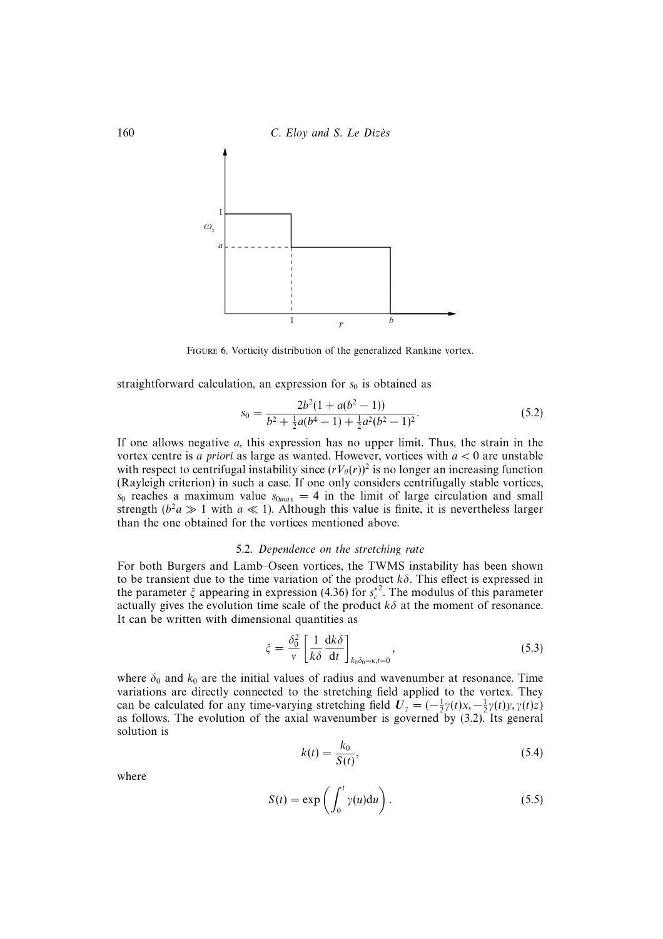



Figure 6. Vorticity distribution of the generalized Rankine vortex.

straightforward calculation, an expression for  $s_0$  is obtained as

$$
s_0 = \frac{2b^2(1 + a(b^2 - 1))}{b^2 + \frac{1}{2}a(b^4 - 1) + \frac{1}{2}a^2(b^2 - 1)^2}.
$$
\n(5.2)

If one allows negative  $a$ , this expression has no upper limit. Thus, the strain in the vortex centre is *a priori* as large as wanted. However, vortices with  $a < 0$  are unstable with respect to centrifugal instability since  $(rV_\theta(r))^2$  is no longer an increasing function (Rayleigh criterion) in such a case. If one only considers centrifugally stable vortices,  $s_0$  reaches a maximum value  $s_{0max} = 4$  in the limit of large circulation and small strength ( $b^2a \gg 1$  with  $a \ll 1$ ). Although this value is finite, it is nevertheless larger than the one obtained for the vortices mentioned above.

#### 5.2. Dependence on the stretching rate

For both Burgers and Lamb–Oseen vortices, the TWMS instability has been shown to be transient due to the time variation of the product  $k\delta$ . This effect is expressed in the parameter  $\xi$  appearing in expression (4.36) for  $s_c^*$ <sup>2</sup>. The modulus of this parameter actually gives the evolution time scale of the product  $k\delta$  at the moment of resonance. It can be written with dimensional quantities as

$$
\xi = \frac{\delta_0^2}{v} \left[ \frac{1}{k\delta} \frac{dk\delta}{dt} \right]_{k_0 \delta_0 = \kappa, t = 0},
$$
\n(5.3)

where  $\delta_0$  and  $k_0$  are the initial values of radius and wavenumber at resonance. Time variations are directly connected to the stretching field applied to the vortex. They can be calculated for any time-varying stretching field  $U_{\gamma} = (-\frac{1}{2}\gamma(t)x, -\frac{1}{2}\gamma(t)y, \gamma(t)z)$ as follows. The evolution of the axial wavenumber is governed by (3.2). Its general solution is

$$
k(t) = \frac{k_0}{S(t)},\tag{5.4}
$$

where

$$
S(t) = \exp\left(\int_0^t \gamma(u) \mathrm{d}u\right). \tag{5.5}
$$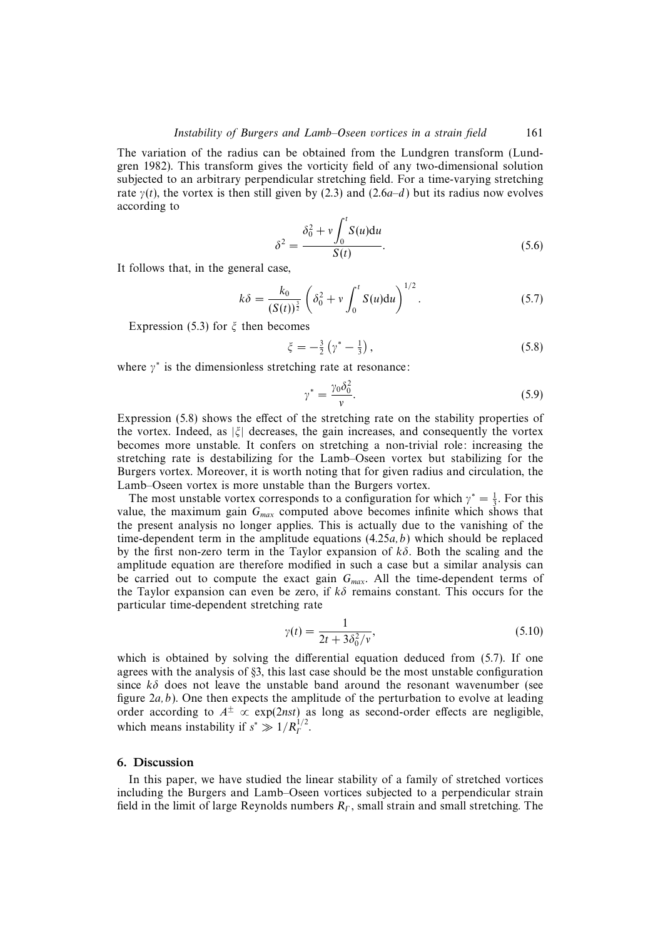The variation of the radius can be obtained from the Lundgren transform (Lundgren 1982). This transform gives the vorticity field of any two-dimensional solution subjected to an arbitrary perpendicular stretching field. For a time-varying stretching rate  $\gamma(t)$ , the vortex is then still given by (2.3) and (2.6a–d) but its radius now evolves according to

$$
\delta^2 = \frac{\delta_0^2 + v \int_0^t S(u) \mathrm{d}u}{S(t)}.\tag{5.6}
$$

It follows that, in the general case,

$$
k\delta = \frac{k_0}{(S(t))^{\frac{3}{2}}} \left( \delta_0^2 + v \int_0^t S(u) \mathrm{d}u \right)^{1/2}.
$$
 (5.7)

Expression (5.3) for  $\xi$  then becomes

$$
\xi = -\frac{3}{2} \left( \gamma^* - \frac{1}{3} \right),\tag{5.8}
$$

where  $\gamma^*$  is the dimensionless stretching rate at resonance:

$$
\gamma^* = \frac{\gamma_0 \delta_0^2}{v}.\tag{5.9}
$$

Expression (5.8) shows the effect of the stretching rate on the stability properties of the vortex. Indeed, as  $|\xi|$  decreases, the gain increases, and consequently the vortex becomes more unstable. It confers on stretching a non-trivial role: increasing the stretching rate is destabilizing for the Lamb–Oseen vortex but stabilizing for the Burgers vortex. Moreover, it is worth noting that for given radius and circulation, the Lamb–Oseen vortex is more unstable than the Burgers vortex.

The most unstable vortex corresponds to a configuration for which  $\gamma^* = \frac{1}{3}$ . For this value, the maximum gain  $G_{max}$  computed above becomes infinite which shows that the present analysis no longer applies. This is actually due to the vanishing of the time-dependent term in the amplitude equations  $(4.25a, b)$  which should be replaced by the first non-zero term in the Taylor expansion of  $k\delta$ . Both the scaling and the amplitude equation are therefore modified in such a case but a similar analysis can be carried out to compute the exact gain  $G<sub>max</sub>$ . All the time-dependent terms of the Taylor expansion can even be zero, if  $k\delta$  remains constant. This occurs for the particular time-dependent stretching rate

$$
\gamma(t) = \frac{1}{2t + 3\delta_0^2/v},\tag{5.10}
$$

which is obtained by solving the differential equation deduced from (5.7). If one agrees with the analysis of §3, this last case should be the most unstable configuration since  $k\delta$  does not leave the unstable band around the resonant wavenumber (see figure  $2a, b$ ). One then expects the amplitude of the perturbation to evolve at leading order according to  $A^{\pm} \propto \exp(2nst)$  as long as second-order effects are negligible, which means instability if  $s^* \gg 1/R_r^{1/2}$ .

#### 6. Discussion

In this paper, we have studied the linear stability of a family of stretched vortices including the Burgers and Lamb–Oseen vortices subjected to a perpendicular strain field in the limit of large Reynolds numbers  $R_r$ , small strain and small stretching. The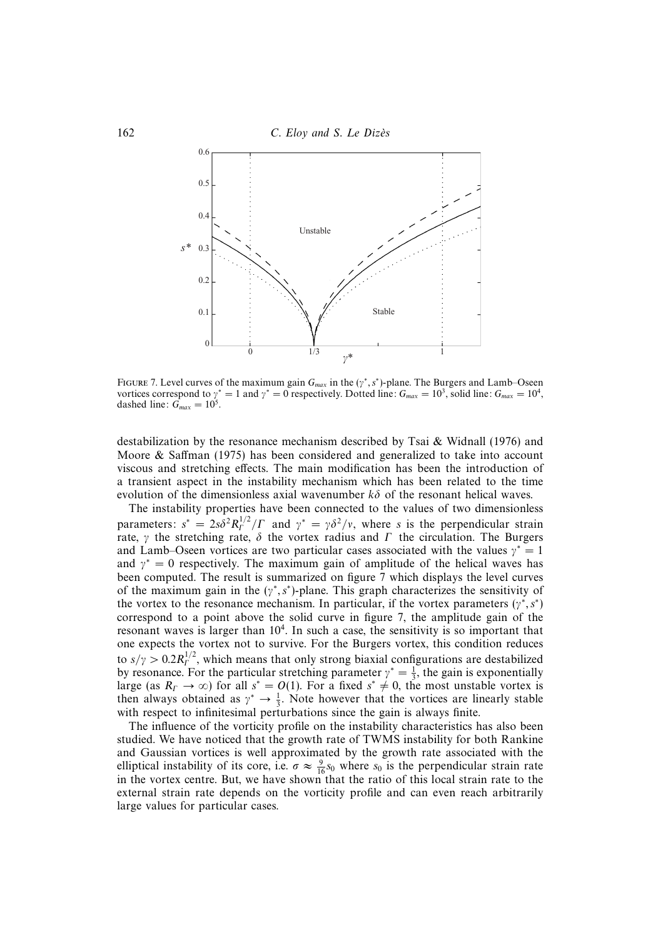



FIGURE 7. Level curves of the maximum gain  $G_{max}$  in the ( $\gamma^*$ , s<sup>\*</sup>)-plane. The Burgers and Lamb–Oseen vortices correspond to  $\gamma^* = 1$  and  $\gamma^* = 0$  respectively. Dotted line:  $G_{max} = 10^3$ , solid line:  $G_{max} = 10^4$ , dashed line:  $G_{max} = 10^5$ .

destabilization by the resonance mechanism described by Tsai & Widnall (1976) and Moore & Saffman (1975) has been considered and generalized to take into account viscous and stretching effects. The main modification has been the introduction of a transient aspect in the instability mechanism which has been related to the time evolution of the dimensionless axial wavenumber  $k\delta$  of the resonant helical waves.

The instability properties have been connected to the values of two dimensionless parameters:  $s^* = 2s\delta^2 R_I^{1/2}/\Gamma$  and  $\gamma^* = \gamma \delta^2/\nu$ , where s is the perpendicular strain rate,  $\gamma$  the stretching rate,  $\delta$  the vortex radius and  $\Gamma$  the circulation. The Burgers and Lamb–Oseen vortices are two particular cases associated with the values  $\gamma^* = 1$ and  $\gamma^* = 0$  respectively. The maximum gain of amplitude of the helical waves has been computed. The result is summarized on figure 7 which displays the level curves of the maximum gain in the ( $\gamma^*$ , s<sup>\*</sup>)-plane. This graph characterizes the sensitivity of the vortex to the resonance mechanism. In particular, if the vortex parameters ( $\gamma^*$ , s<sup>\*</sup>) correspond to a point above the solid curve in figure 7, the amplitude gain of the resonant waves is larger than  $10<sup>4</sup>$ . In such a case, the sensitivity is so important that one expects the vortex not to survive. For the Burgers vortex, this condition reduces to  $s/\gamma > 0.2 R_f^{1/2}$ , which means that only strong biaxial configurations are destabilized by resonance. For the particular stretching parameter  $\gamma^* = \frac{1}{3}$ , the gain is exponentially large (as  $R_F \to \infty$ ) for all  $s^* = O(1)$ . For a fixed  $s^* \neq 0$ , the most unstable vortex is then always obtained as  $\gamma^* \to \frac{1}{3}$ . Note however that the vortices are linearly stable with respect to infinitesimal perturbations since the gain is always finite.

The influence of the vorticity profile on the instability characteristics has also been studied. We have noticed that the growth rate of TWMS instability for both Rankine and Gaussian vortices is well approximated by the growth rate associated with the elliptical instability of its core, i.e.  $\sigma \approx \frac{9}{16} s_0$  where  $s_0$  is the perpendicular strain rate in the vortex centre. But, we have shown that the ratio of this local strain rate to the external strain rate depends on the vorticity profile and can even reach arbitrarily large values for particular cases.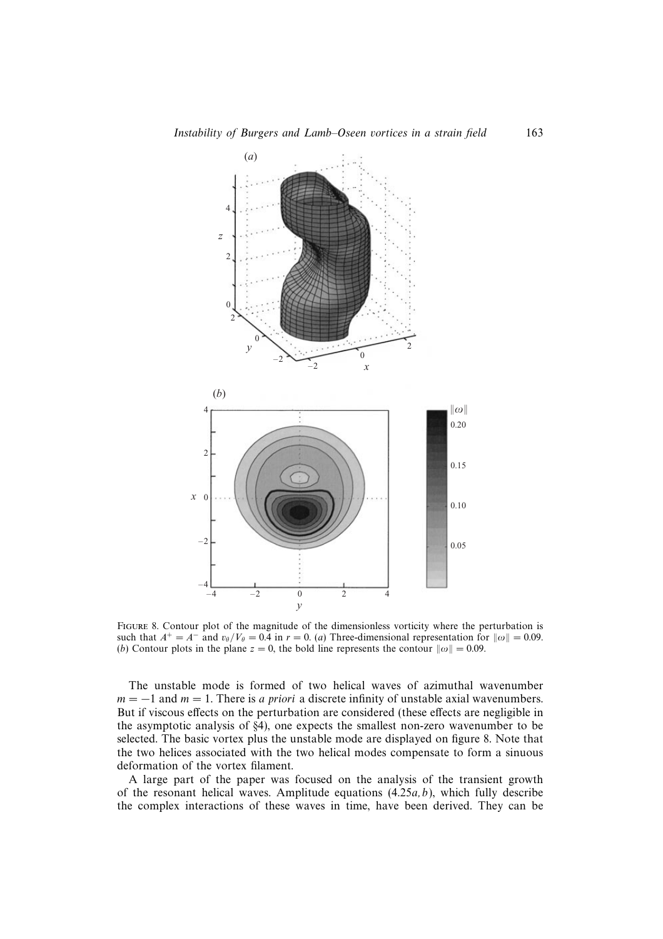

Figure 8. Contour plot of the magnitude of the dimensionless vorticity where the perturbation is such that  $A^+ = A^-$  and  $v_\theta/V_\theta = 0.\overline{4}$  in  $r = 0$ . (a) Three-dimensional representation for  $\|\omega\| = 0.09$ . (b) Contour plots in the plane  $z = 0$ , the bold line represents the contour  $\|\omega\| = 0.09$ .

The unstable mode is formed of two helical waves of azimuthal wavenumber  $m = -1$  and  $m = 1$ . There is a priori a discrete infinity of unstable axial wavenumbers. But if viscous effects on the perturbation are considered (these effects are negligible in the asymptotic analysis of §4), one expects the smallest non-zero wavenumber to be selected. The basic vortex plus the unstable mode are displayed on figure 8. Note that the two helices associated with the two helical modes compensate to form a sinuous deformation of the vortex filament.

A large part of the paper was focused on the analysis of the transient growth of the resonant helical waves. Amplitude equations  $(4.25a, b)$ , which fully describe the complex interactions of these waves in time, have been derived. They can be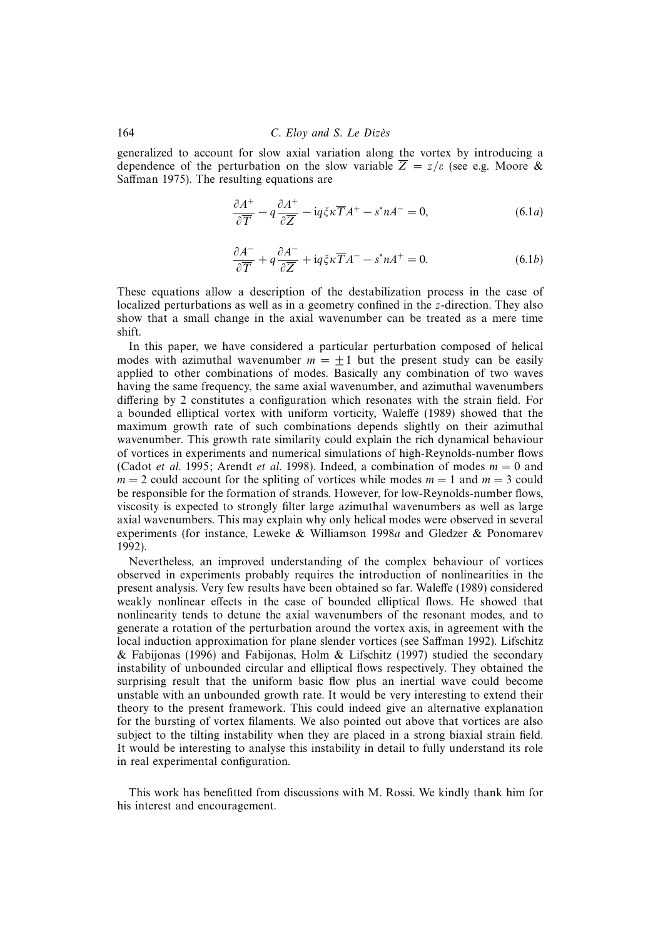#### 164 C. Eloy and S. Le Dizès

generalized to account for slow axial variation along the vortex by introducing a dependence of the perturbation on the slow variable  $\overline{Z} = z/\varepsilon$  (see e.g. Moore & Saffman 1975). The resulting equations are

$$
\frac{\partial A^{+}}{\partial \overline{T}} - q \frac{\partial A^{+}}{\partial \overline{Z}} - i q \xi \kappa \overline{T} A^{+} - s^{*} n A^{-} = 0, \qquad (6.1a)
$$

$$
\frac{\partial A^{-}}{\partial \overline{T}} + q \frac{\partial A^{-}}{\partial \overline{Z}} + i q \xi \kappa \overline{T} A^{-} - s^{*} n A^{+} = 0.
$$
 (6.1*b*)

These equations allow a description of the destabilization process in the case of localized perturbations as well as in a geometry confined in the z-direction. They also show that a small change in the axial wavenumber can be treated as a mere time shift.

In this paper, we have considered a particular perturbation composed of helical modes with azimuthal wavenumber  $m = +1$  but the present study can be easily applied to other combinations of modes. Basically any combination of two waves having the same frequency, the same axial wavenumber, and azimuthal wavenumbers differing by 2 constitutes a configuration which resonates with the strain field. For a bounded elliptical vortex with uniform vorticity, Waleffe (1989) showed that the maximum growth rate of such combinations depends slightly on their azimuthal wavenumber. This growth rate similarity could explain the rich dynamical behaviour of vortices in experiments and numerical simulations of high-Reynolds-number flows (Cadot *et al.* 1995; Arendt *et al.* 1998). Indeed, a combination of modes  $m = 0$  and  $m = 2$  could account for the spliting of vortices while modes  $m = 1$  and  $m = 3$  could be responsible for the formation of strands. However, for low-Reynolds-number flows, viscosity is expected to strongly filter large azimuthal wavenumbers as well as large axial wavenumbers. This may explain why only helical modes were observed in several experiments (for instance, Leweke & Williamson 1998a and Gledzer & Ponomarev 1992).

Nevertheless, an improved understanding of the complex behaviour of vortices observed in experiments probably requires the introduction of nonlinearities in the present analysis. Very few results have been obtained so far. Waleffe (1989) considered weakly nonlinear effects in the case of bounded elliptical flows. He showed that nonlinearity tends to detune the axial wavenumbers of the resonant modes, and to generate a rotation of the perturbation around the vortex axis, in agreement with the local induction approximation for plane slender vortices (see Saffman 1992). Lifschitz & Fabijonas (1996) and Fabijonas, Holm & Lifschitz (1997) studied the secondary instability of unbounded circular and elliptical flows respectively. They obtained the surprising result that the uniform basic flow plus an inertial wave could become unstable with an unbounded growth rate. It would be very interesting to extend their theory to the present framework. This could indeed give an alternative explanation for the bursting of vortex filaments. We also pointed out above that vortices are also subject to the tilting instability when they are placed in a strong biaxial strain field. It would be interesting to analyse this instability in detail to fully understand its role in real experimental configuration.

This work has benefitted from discussions with M. Rossi. We kindly thank him for his interest and encouragement.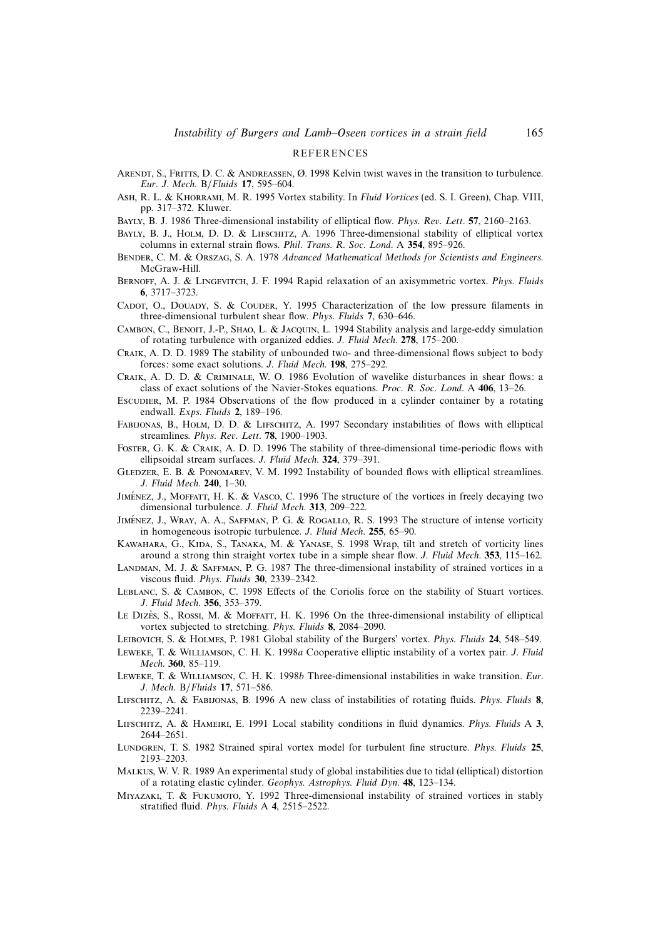#### **REFERENCES**

- ARENDT, S., FRITTS, D. C. & ANDREASSEN, Ø. 1998 Kelvin twist waves in the transition to turbulence. Eur. J. Mech. B/Fluids **17**, 595–604.
- Ash, R. L. & Khorrami, M. R. 1995 Vortex stability. In Fluid Vortices (ed. S. I. Green), Chap. VIII, pp. 317–372. Kluwer.
- Bayly, B. J. 1986 Three-dimensional instability of elliptical flow. Phys. Rev. Lett. **57**, 2160–2163.
- BAYLY, B. J., HOLM, D. D. & LIFSCHITZ, A. 1996 Three-dimensional stability of elliptical vortex columns in external strain flows. Phil. Trans. R. Soc. Lond. A **354**, 895–926.
- BENDER, C. M. & ORSZAG, S. A. 1978 Advanced Mathematical Methods for Scientists and Engineers. McGraw-Hill.
- BERNOFF, A. J. & LINGEVITCH, J. F. 1994 Rapid relaxation of an axisymmetric vortex. Phys. Fluids **6**, 3717–3723.
- CADOT, O., DOUADY, S. & COUDER, Y. 1995 Characterization of the low pressure filaments in three-dimensional turbulent shear flow. Phys. Fluids **7**, 630–646.
- CAMBON, C., BENOIT, J.-P., SHAO, L. & JACQUIN, L. 1994 Stability analysis and large-eddy simulation of rotating turbulence with organized eddies. J. Fluid Mech. **278**, 175–200.
- Craik, A. D. D. 1989 The stability of unbounded two- and three-dimensional flows subject to body forces: some exact solutions. J. Fluid Mech. **198**, 275–292.
- Craik, A. D. D. & Criminale, W. O. 1986 Evolution of wavelike disturbances in shear flows: a class of exact solutions of the Navier-Stokes equations. Proc. R. Soc. Lond. A **406**, 13–26.
- Escudier, M. P. 1984 Observations of the flow produced in a cylinder container by a rotating endwall. Exps. Fluids **2**, 189–196.
- Fabijonas, B., Holm, D. D. & Lifschitz, A. 1997 Secondary instabilities of flows with elliptical streamlines. Phys. Rev. Lett. **78**, 1900–1903.
- Foster, G. K. & Craik, A. D. D. 1996 The stability of three-dimensional time-periodic flows with ellipsoidal stream surfaces. J. Fluid Mech. **324**, 379–391.
- GLEDZER, E. B. & PONOMAREV, V. M. 1992 Instability of bounded flows with elliptical streamlines. J. Fluid Mech. **240**, 1–30.
- JIMÉNEZ, J., MOFFATT, H. K. & VASCO, C. 1996 The structure of the vortices in freely decaying two dimensional turbulence. J. Fluid Mech. **313**, 209–222.
- JIMÉNEZ, J., WRAY, A. A., SAFFMAN, P. G. & ROGALLO, R. S. 1993 The structure of intense vorticity in homogeneous isotropic turbulence. J. Fluid Mech. **255**, 65–90.
- Kawahara, G., Kida, S., Tanaka, M. & Yanase, S. 1998 Wrap, tilt and stretch of vorticity lines around a strong thin straight vortex tube in a simple shear flow. J. Fluid Mech. **353**, 115–162.
- LANDMAN, M. J. & SAFFMAN, P. G. 1987 The three-dimensional instability of strained vortices in a viscous fluid. Phys. Fluids **30**, 2339–2342.
- Leblanc, S. & Cambon, C. 1998 Effects of the Coriolis force on the stability of Stuart vortices. J. Fluid Mech. **356**, 353–379.
- Le Dizès, S., Rossi, M. & MoFFATT, H. K. 1996 On the three-dimensional instability of elliptical vortex subjected to stretching. Phys. Fluids **8**, 2084–2090.
- Leibovich, S. & Holmes, P. 1981 Global stability of the Burgers' vortex. Phys. Fluids **24**, 548–549.
- Leweke, T. & Williamson, C. H. K. 1998a Cooperative elliptic instability of a vortex pair. J. Fluid Mech. **360**, 85–119.
- LEWEKE, T. & WILLIAMSON, C. H. K. 1998b Three-dimensional instabilities in wake transition. Eur. J. Mech. B/Fluids **17**, 571–586.
- Lifschitz, A. & Fabijonas, B. 1996 A new class of instabilities of rotating fluids. Phys. Fluids **8**, 2239–2241.
- Lifschitz, A. & Hameiri, E. 1991 Local stability conditions in fluid dynamics. Phys. Fluids A **3**, 2644–2651.
- Lundgren, T. S. 1982 Strained spiral vortex model for turbulent fine structure. Phys. Fluids **25**, 2193–2203.
- Malkus, W. V. R. 1989 An experimental study of global instabilities due to tidal (elliptical) distortion of a rotating elastic cylinder. Geophys. Astrophys. Fluid Dyn. **48**, 123–134.
- Miyazaki, T. & Fukumoto, Y. 1992 Three-dimensional instability of strained vortices in stably stratified fluid. Phys. Fluids A **4**, 2515–2522.